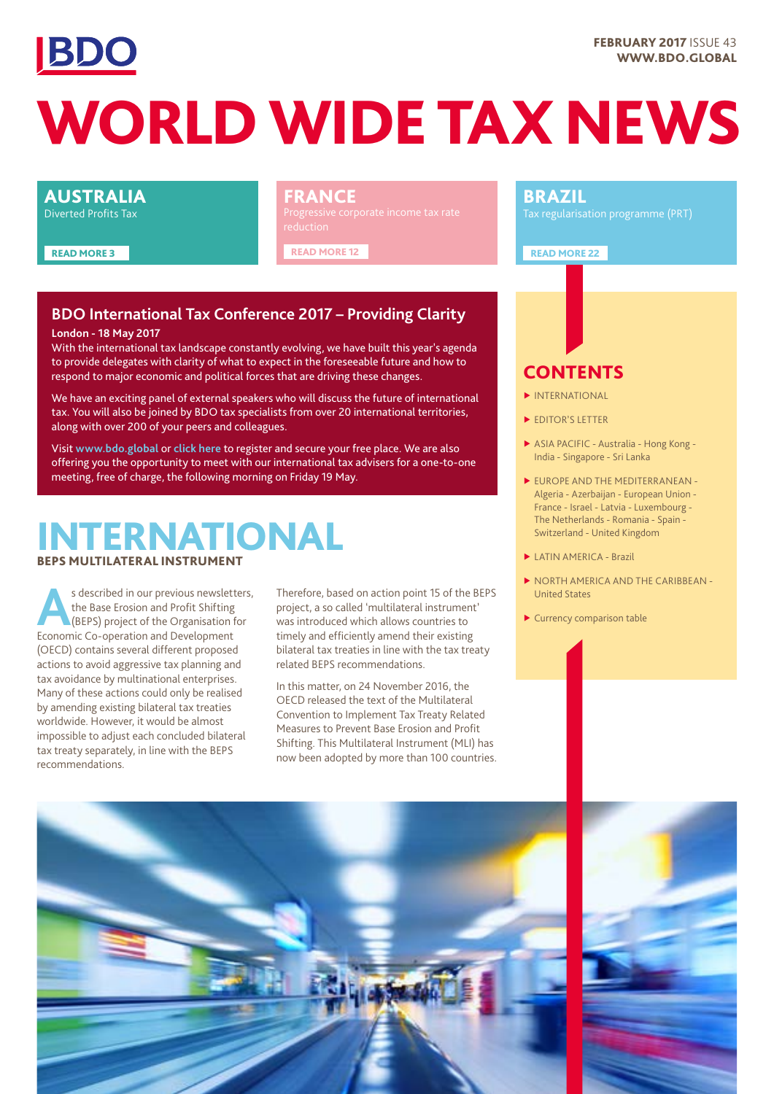

# WORLD WIDE TAX NEWS

#### AUSTRALIA

Diverted Profits Tax

READ MORE 3

#### FRANCE

READ MORE 12

### **BDO International Tax Conference 2017 – Providing Clarity**

#### **London - 18 May 2017**

With the international tax landscape constantly evolving, we have built this year's agenda to provide delegates with clarity of what to expect in the foreseeable future and how to respond to major economic and political forces that are driving these changes.

We have an exciting panel of external speakers who will discuss the future of international tax. You will also be joined by BDO tax specialists from over 20 international territories, along with over 200 of your peers and colleagues.

Visit **[www.bdo.global](http://www.bdo.global)** or **[click here](https://www.bdo.global/en-gb/events/bdo-international-tax-conference-2017-providing)** to register and secure your free place. We are also offering you the opportunity to meet with our international tax advisers for a one-to-one meeting, free of charge, the following morning on Friday 19 May.

## **NTERNATIONAL** BEPS MULTILATERAL INSTRUMENT

s described in our previous newsletters,<br>the Base Erosion and Profit Shifting<br>(BEPS) project of the Organisation for<br>Economic Co. operation and Development the Base Erosion and Profit Shifting Economic Co-operation and Development (OECD) contains several different proposed actions to avoid aggressive tax planning and tax avoidance by multinational enterprises. Many of these actions could only be realised by amending existing bilateral tax treaties worldwide. However, it would be almost impossible to adjust each concluded bilateral tax treaty separately, in line with the BEPS recommendations.

Therefore, based on action point 15 of the BEPS project, a so called 'multilateral instrument' was introduced which allows countries to timely and efficiently amend their existing bilateral tax treaties in line with the tax treaty related BEPS recommendations.

In this matter, on 24 November 2016, the OECD released the text of the Multilateral Convention to Implement Tax Treaty Related Measures to Prevent Base Erosion and Profit Shifting. This Multilateral Instrument (MLI) has now been adopted by more than 100 countries.

#### BRAZIL

READ MORE 22

### **CONTENTS**

- ▶ INTERNATIONAL
- ▶ EDITOR'S LETTER
- ▶ ASIA PACIFIC Australia Hong Kong India - Singapore - Sri Lanka
- ▶ EUROPE AND THE MEDITERRANEAN Algeria - Azerbaijan - European Union - France - Israel - Latvia - Luxembourg - The Netherlands - Romania - Spain - Switzerland - United Kingdom
- ▶ LATIN AMERICA Brazil
- ▶ NORTH AMERICA AND THE CARIBBEAN United States
- ▶ Currency comparison table



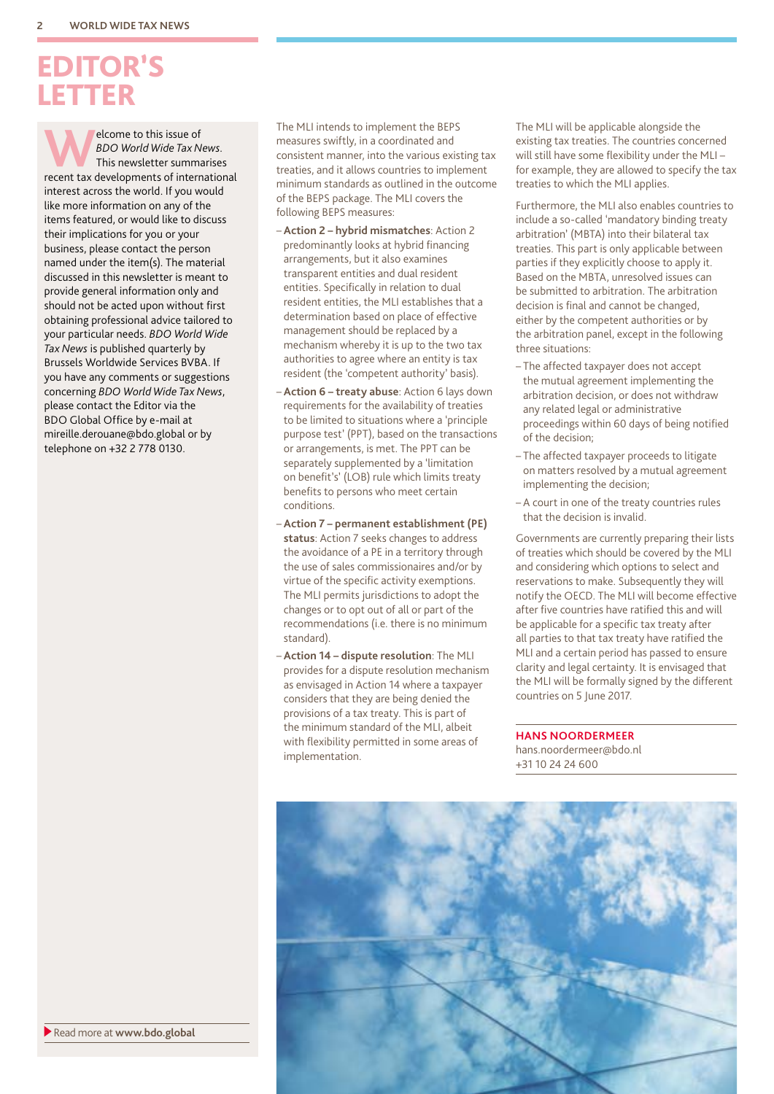## EDITOR'S LETTER

**Welcome to this issue of**<br> *BDO World Wide Tax News.*<br>
This newsletter summarises<br>
recent tax developments of international *BDO World Wide Tax News*. This newsletter summarises interest across the world. If you would like more information on any of the items featured, or would like to discuss their implications for you or your business, please contact the person named under the item(s). The material discussed in this newsletter is meant to provide general information only and should not be acted upon without first obtaining professional advice tailored to your particular needs. *BDO World Wide Tax News* is published quarterly by Brussels Worldwide Services BVBA. If you have any comments or suggestions concerning *BDO World Wide Tax News*, please contact the Editor via the BDO Global Office by e-mail at mireille.derouane@bdo.global or by telephone on +32 2 778 0130.

The MLI intends to implement the BEPS measures swiftly, in a coordinated and consistent manner, into the various existing tax treaties, and it allows countries to implement minimum standards as outlined in the outcome of the BEPS package. The MLI covers the following BEPS measures:

- **Action 2 hybrid mismatches**: Action 2 predominantly looks at hybrid financing arrangements, but it also examines transparent entities and dual resident entities. Specifically in relation to dual resident entities, the MLI establishes that a determination based on place of effective management should be replaced by a mechanism whereby it is up to the two tax authorities to agree where an entity is tax resident (the 'competent authority' basis).
- **Action 6 treaty abuse**: Action 6 lays down requirements for the availability of treaties to be limited to situations where a 'principle purpose test' (PPT), based on the transactions or arrangements, is met. The PPT can be separately supplemented by a 'limitation on benefit's' (LOB) rule which limits treaty benefits to persons who meet certain conditions.
- **Action 7 permanent establishment (PE) status**: Action 7 seeks changes to address the avoidance of a PE in a territory through the use of sales commissionaires and/or by virtue of the specific activity exemptions. The MLI permits jurisdictions to adopt the changes or to opt out of all or part of the recommendations (i.e. there is no minimum standard).
- **Action 14 dispute resolution**: The MLI provides for a dispute resolution mechanism as envisaged in Action 14 where a taxpayer considers that they are being denied the provisions of a tax treaty. This is part of the minimum standard of the MLI, albeit with flexibility permitted in some areas of implementation.

The MLI will be applicable alongside the existing tax treaties. The countries concerned will still have some flexibility under the MLI – for example, they are allowed to specify the tax treaties to which the MLI applies.

Furthermore, the MLI also enables countries to include a so-called 'mandatory binding treaty arbitration' (MBTA) into their bilateral tax treaties. This part is only applicable between parties if they explicitly choose to apply it. Based on the MBTA, unresolved issues can be submitted to arbitration. The arbitration decision is final and cannot be changed, either by the competent authorities or by the arbitration panel, except in the following three situations:

- The affected taxpayer does not accept the mutual agreement implementing the arbitration decision, or does not withdraw any related legal or administrative proceedings within 60 days of being notified of the decision;
- The affected taxpayer proceeds to litigate on matters resolved by a mutual agreement implementing the decision;
- A court in one of the treaty countries rules that the decision is invalid.

Governments are currently preparing their lists of treaties which should be covered by the MLI and considering which options to select and reservations to make. Subsequently they will notify the OECD. The MLI will become effective after five countries have ratified this and will be applicable for a specific tax treaty after all parties to that tax treaty have ratified the MLI and a certain period has passed to ensure clarity and legal certainty. It is envisaged that the MLI will be formally signed by the different countries on 5 June 2017.

**HANS NOORDERMEER** hans.noordermeer@bdo.nl

+31 10 24 24 600



Read more at **www.bdo.global**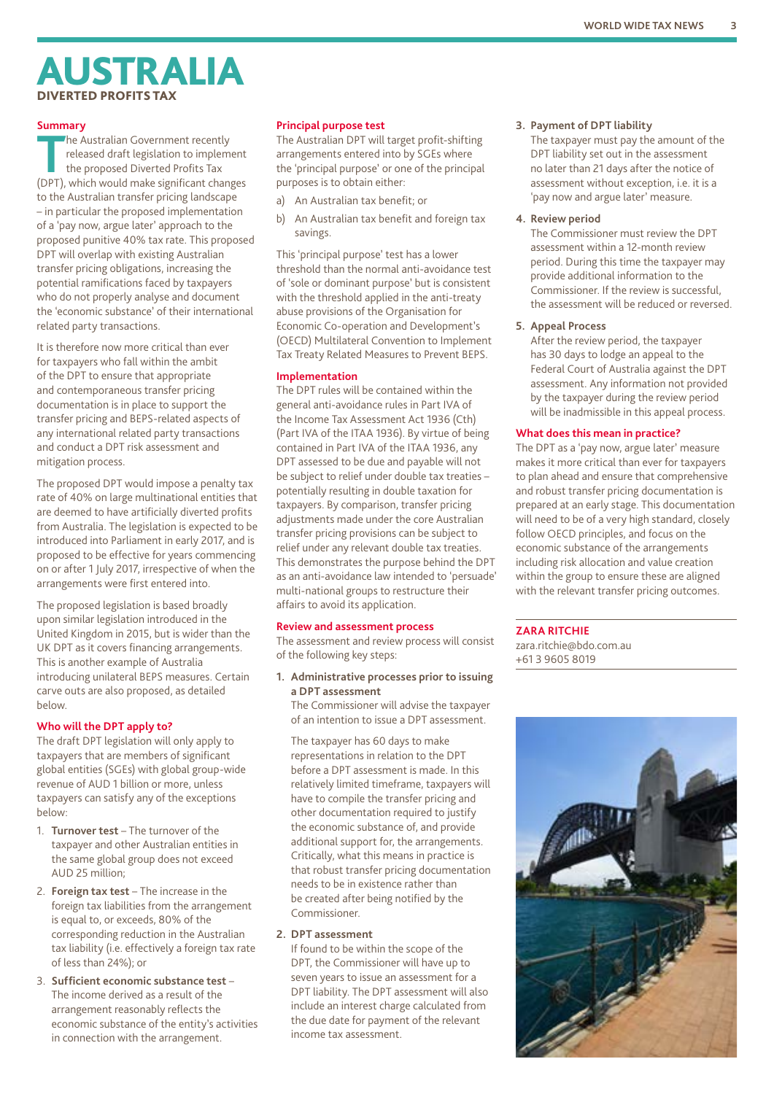## AUSTRALIA DIVERTED PROFITS TAX

#### **Summary**

**The Australian Government recently<br>
The Australian Government recently<br>
the proposed Diverted Profits Tax<br>
(DPT) which would make significant chape** released draft legislation to implement (DPT), which would make significant changes to the Australian transfer pricing landscape – in particular the proposed implementation of a 'pay now, argue later' approach to the proposed punitive 40% tax rate. This proposed DPT will overlap with existing Australian transfer pricing obligations, increasing the potential ramifications faced by taxpayers who do not properly analyse and document the 'economic substance' of their international related party transactions.

It is therefore now more critical than ever for taxpayers who fall within the ambit of the DPT to ensure that appropriate and contemporaneous transfer pricing documentation is in place to support the transfer pricing and BEPS-related aspects of any international related party transactions and conduct a DPT risk assessment and mitigation process.

The proposed DPT would impose a penalty tax rate of 40% on large multinational entities that are deemed to have artificially diverted profits from Australia. The legislation is expected to be introduced into Parliament in early 2017, and is proposed to be effective for years commencing on or after 1 July 2017, irrespective of when the arrangements were first entered into.

The proposed legislation is based broadly upon similar legislation introduced in the United Kingdom in 2015, but is wider than the UK DPT as it covers financing arrangements. This is another example of Australia introducing unilateral BEPS measures. Certain carve outs are also proposed, as detailed below.

#### **Who will the DPT apply to?**

The draft DPT legislation will only apply to taxpayers that are members of significant global entities (SGEs) with global group-wide revenue of AUD 1 billion or more, unless taxpayers can satisfy any of the exceptions below:

- 1. **Turnover test** The turnover of the taxpayer and other Australian entities in the same global group does not exceed AUD 25 million;
- 2. **Foreign tax test** The increase in the foreign tax liabilities from the arrangement is equal to, or exceeds, 80% of the corresponding reduction in the Australian tax liability (i.e. effectively a foreign tax rate of less than 24%); or
- 3. **Sufficient economic substance test** The income derived as a result of the arrangement reasonably reflects the economic substance of the entity's activities in connection with the arrangement.

#### **Principal purpose test**

The Australian DPT will target profit-shifting arrangements entered into by SGEs where the 'principal purpose' or one of the principal purposes is to obtain either:

- a) An Australian tax benefit; or
- b) An Australian tax benefit and foreign tax savings.

This 'principal purpose' test has a lower threshold than the normal anti-avoidance test of 'sole or dominant purpose' but is consistent with the threshold applied in the anti-treaty abuse provisions of the Organisation for Economic Co-operation and Development's (OECD) Multilateral Convention to Implement Tax Treaty Related Measures to Prevent BEPS.

#### **Implementation**

The DPT rules will be contained within the general anti-avoidance rules in Part IVA of the Income Tax Assessment Act 1936 (Cth) (Part IVA of the ITAA 1936). By virtue of being contained in Part IVA of the ITAA 1936, any DPT assessed to be due and payable will not be subject to relief under double tax treaties – potentially resulting in double taxation for taxpayers. By comparison, transfer pricing adjustments made under the core Australian transfer pricing provisions can be subject to relief under any relevant double tax treaties. This demonstrates the purpose behind the DPT as an anti-avoidance law intended to 'persuade' multi-national groups to restructure their affairs to avoid its application.

#### **Review and assessment process**

The assessment and review process will consist of the following key steps:

**1. Administrative processes prior to issuing a DPT assessment**

The Commissioner will advise the taxpayer of an intention to issue a DPT assessment.

The taxpayer has 60 days to make representations in relation to the DPT before a DPT assessment is made. In this relatively limited timeframe, taxpayers will have to compile the transfer pricing and other documentation required to justify the economic substance of, and provide additional support for, the arrangements. Critically, what this means in practice is that robust transfer pricing documentation needs to be in existence rather than be created after being notified by the Commissioner.

#### **2. DPT assessment**

If found to be within the scope of the DPT, the Commissioner will have up to seven years to issue an assessment for a DPT liability. The DPT assessment will also include an interest charge calculated from the due date for payment of the relevant income tax assessment.

#### **3. Payment of DPT liability**

The taxpayer must pay the amount of the DPT liability set out in the assessment no later than 21 days after the notice of assessment without exception, i.e. it is a 'pay now and argue later' measure.

#### **4. Review period**

The Commissioner must review the DPT assessment within a 12-month review period. During this time the taxpayer may provide additional information to the Commissioner. If the review is successful, the assessment will be reduced or reversed.

#### **5. Appeal Process**

After the review period, the taxpayer has 30 days to lodge an appeal to the Federal Court of Australia against the DPT assessment. Any information not provided by the taxpayer during the review period will be inadmissible in this appeal process.

#### **What does this mean in practice?**

The DPT as a 'pay now, argue later' measure makes it more critical than ever for taxpayers to plan ahead and ensure that comprehensive and robust transfer pricing documentation is prepared at an early stage. This documentation will need to be of a very high standard, closely follow OECD principles, and focus on the economic substance of the arrangements including risk allocation and value creation within the group to ensure these are aligned with the relevant transfer pricing outcomes.

#### **ZARA RITCHIE**

zara.ritchie@bdo.com.au +61 3 9605 8019

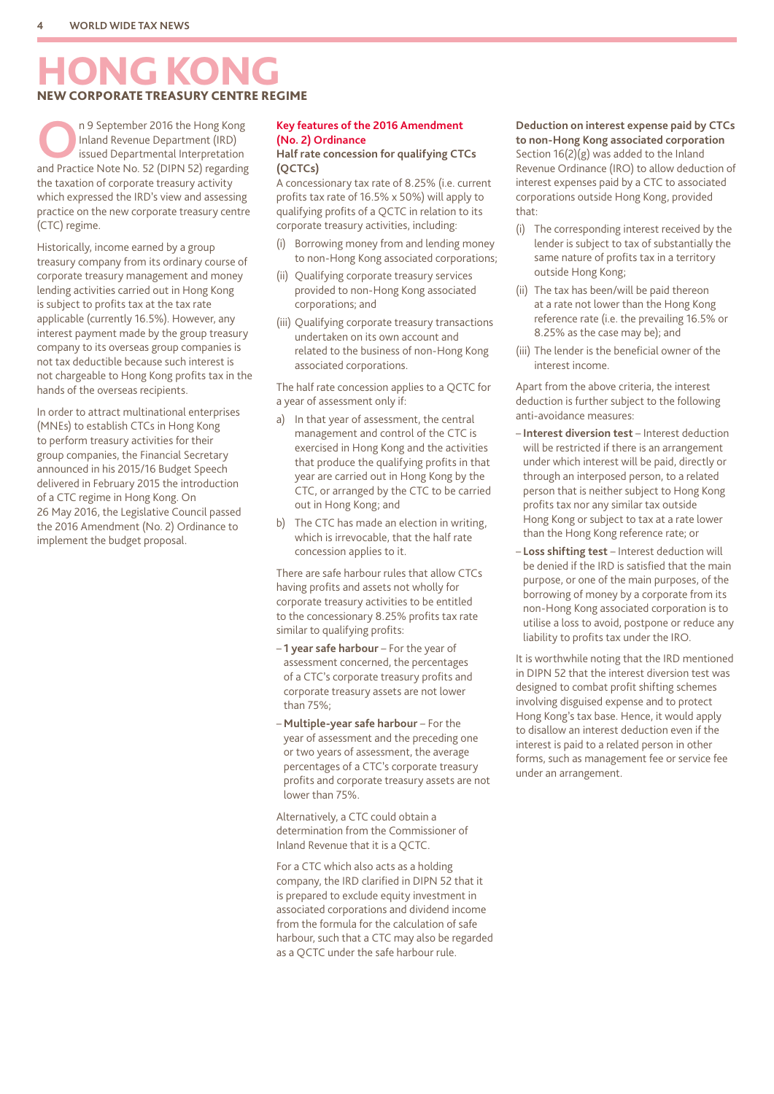## HONG KONG NEW CORPORATE TREASURY CENTRE REGIME

**O**n 9 September 2016 the Hong Kong Inland Revenue Department (IRD) issued Departmental Interpretation and Practice Note No. 52 (DIPN 52) regarding the taxation of corporate treasury activity which expressed the IRD's view and assessing practice on the new corporate treasury centre (CTC) regime.

Historically, income earned by a group treasury company from its ordinary course of corporate treasury management and money lending activities carried out in Hong Kong is subject to profits tax at the tax rate applicable (currently 16.5%). However, any interest payment made by the group treasury company to its overseas group companies is not tax deductible because such interest is not chargeable to Hong Kong profits tax in the hands of the overseas recipients.

In order to attract multinational enterprises (MNEs) to establish CTCs in Hong Kong to perform treasury activities for their group companies, the Financial Secretary announced in his 2015/16 Budget Speech delivered in February 2015 the introduction of a CTC regime in Hong Kong. On 26 May 2016, the Legislative Council passed the 2016 Amendment (No. 2) Ordinance to implement the budget proposal.

#### **Key features of the 2016 Amendment (No. 2) Ordinance**

#### **Half rate concession for qualifying CTCs (QCTCs)**

A concessionary tax rate of 8.25% (i.e. current profits tax rate of 16.5% x 50%) will apply to qualifying profits of a QCTC in relation to its corporate treasury activities, including:

- (i) Borrowing money from and lending money to non-Hong Kong associated corporations;
- Qualifying corporate treasury services provided to non-Hong Kong associated corporations; and
- (iii) Qualifying corporate treasury transactions undertaken on its own account and related to the business of non-Hong Kong associated corporations.

The half rate concession applies to a QCTC for a year of assessment only if:

- a) In that year of assessment, the central management and control of the CTC is exercised in Hong Kong and the activities that produce the qualifying profits in that year are carried out in Hong Kong by the CTC, or arranged by the CTC to be carried out in Hong Kong; and
- b) The CTC has made an election in writing, which is irrevocable, that the half rate concession applies to it.

There are safe harbour rules that allow CTCs having profits and assets not wholly for corporate treasury activities to be entitled to the concessionary 8.25% profits tax rate similar to qualifying profits:

- **1 year safe harbour** For the year of assessment concerned, the percentages of a CTC's corporate treasury profits and corporate treasury assets are not lower than 75%;
- **Multiple-year safe harbour** For the year of assessment and the preceding one or two years of assessment, the average percentages of a CTC's corporate treasury profits and corporate treasury assets are not lower than 75%.

Alternatively, a CTC could obtain a determination from the Commissioner of Inland Revenue that it is a QCTC.

For a CTC which also acts as a holding company, the IRD clarified in DIPN 52 that it is prepared to exclude equity investment in associated corporations and dividend income from the formula for the calculation of safe harbour, such that a CTC may also be regarded as a QCTC under the safe harbour rule.

#### **Deduction on interest expense paid by CTCs to non-Hong Kong associated corporation**

Section 16(2)(g) was added to the Inland Revenue Ordinance (IRO) to allow deduction of interest expenses paid by a CTC to associated corporations outside Hong Kong, provided that:

- (i) The corresponding interest received by the lender is subject to tax of substantially the same nature of profits tax in a territory outside Hong Kong;
- (ii) The tax has been/will be paid thereon at a rate not lower than the Hong Kong reference rate (i.e. the prevailing 16.5% or 8.25% as the case may be); and
- (iii) The lender is the beneficial owner of the interest income.

Apart from the above criteria, the interest deduction is further subject to the following anti-avoidance measures:

- **Interest diversion test** Interest deduction will be restricted if there is an arrangement under which interest will be paid, directly or through an interposed person, to a related person that is neither subject to Hong Kong profits tax nor any similar tax outside Hong Kong or subject to tax at a rate lower than the Hong Kong reference rate; or
- **Loss shifting test** Interest deduction will be denied if the IRD is satisfied that the main purpose, or one of the main purposes, of the borrowing of money by a corporate from its non-Hong Kong associated corporation is to utilise a loss to avoid, postpone or reduce any liability to profits tax under the IRO.

It is worthwhile noting that the IRD mentioned in DIPN 52 that the interest diversion test was designed to combat profit shifting schemes involving disguised expense and to protect Hong Kong's tax base. Hence, it would apply to disallow an interest deduction even if the interest is paid to a related person in other forms, such as management fee or service fee under an arrangement.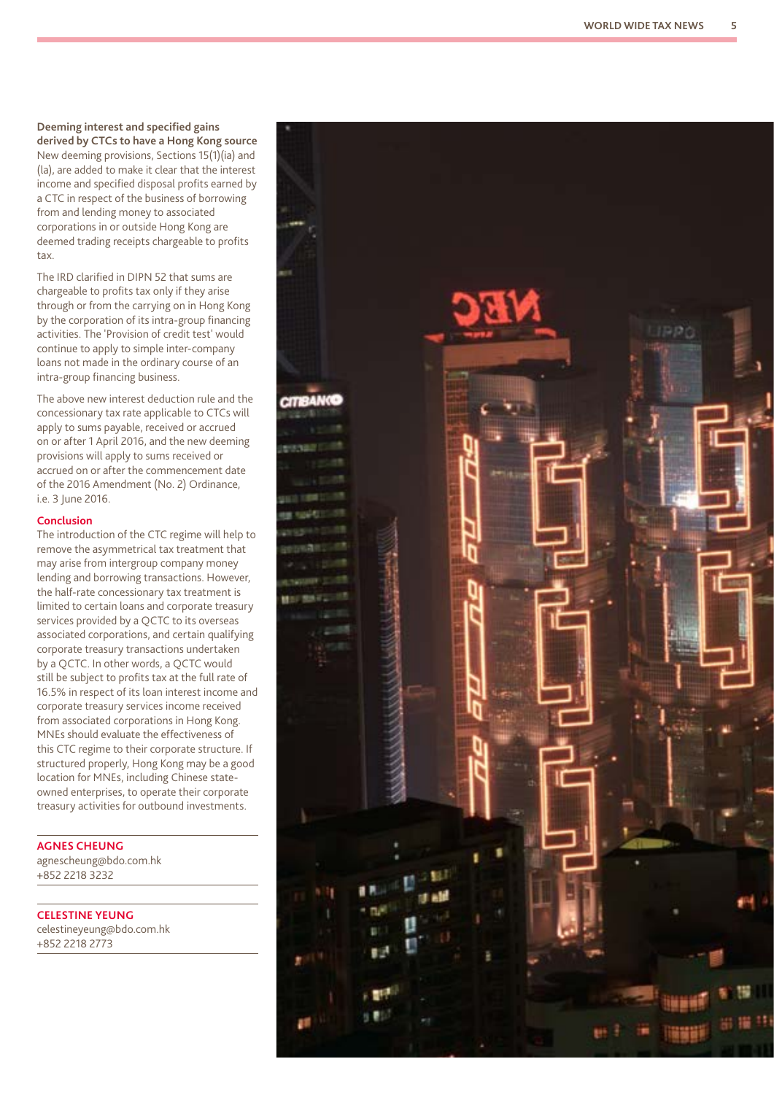#### **Deeming interest and specified gains derived by CTCs to have a Hong Kong source**

New deeming provisions, Sections 15(1)(ia) and (la), are added to make it clear that the interest income and specified disposal profits earned by a CTC in respect of the business of borrowing from and lending money to associated corporations in or outside Hong Kong are deemed trading receipts chargeable to profits tax.

The IRD clarified in DIPN 52 that sums are chargeable to profits tax only if they arise through or from the carrying on in Hong Kong by the corporation of its intra-group financing activities. The 'Provision of credit test' would continue to apply to simple inter-company loans not made in the ordinary course of an intra-group financing business.

The above new interest deduction rule and the concessionary tax rate applicable to CTCs will apply to sums payable, received or accrued on or after 1 April 2016, and the new deeming provisions will apply to sums received or accrued on or after the commencement date of the 2016 Amendment (No. 2) Ordinance, i.e. 3 June 2016.

#### **Conclusion**

The introduction of the CTC regime will help to remove the asymmetrical tax treatment that may arise from intergroup company money lending and borrowing transactions. However, the half-rate concessionary tax treatment is limited to certain loans and corporate treasury services provided by a QCTC to its overseas associated corporations, and certain qualifying corporate treasury transactions undertaken by a QCTC. In other words, a QCTC would still be subject to profits tax at the full rate of 16.5% in respect of its loan interest income and corporate treasury services income received from associated corporations in Hong Kong. MNEs should evaluate the effectiveness of this CTC regime to their corporate structure. If structured properly, Hong Kong may be a good location for MNEs, including Chinese stateowned enterprises, to operate their corporate treasury activities for outbound investments.

**AGNES CHEUNG**

agnescheung@bdo.com.hk +852 2218 3232

**CELESTINE YEUNG** celestineyeung@bdo.com.hk

+852 2218 2773

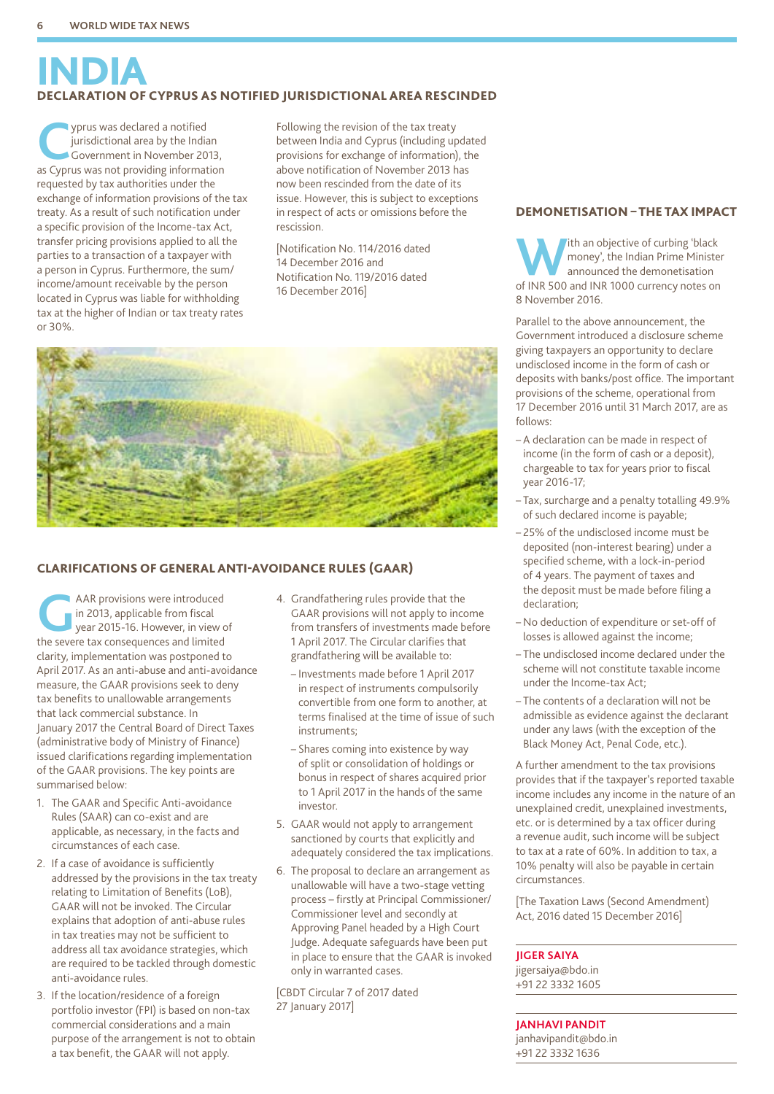## INDIA DECLARATION OF CYPRUS AS NOTIFIED JURISDICTIONAL AREA RESCINDED

**Cyprus was declared a notified<br>
Government in November 20<br>
<b>COVELUS WAS DOT PROVIDING INCORPLANCE** jurisdictional area by the Indian Government in November 2013, as Cyprus was not providing information requested by tax authorities under the exchange of information provisions of the tax treaty. As a result of such notification under a specific provision of the Income-tax Act, transfer pricing provisions applied to all the parties to a transaction of a taxpayer with a person in Cyprus. Furthermore, the sum/ income/amount receivable by the person located in Cyprus was liable for withholding tax at the higher of Indian or tax treaty rates or 30%.

Following the revision of the tax treaty between India and Cyprus (including updated provisions for exchange of information), the above notification of November 2013 has now been rescinded from the date of its issue. However, this is subject to exceptions in respect of acts or omissions before the rescission.

[Notification No. 114/2016 dated 14 December 2016 and Notification No. 119/2016 dated 16 December 2016]



#### CLARIFICATIONS OF GENERAL ANTI-AVOIDANCE RULES (GAAR)

AAR provisions were introduced<br>
year 2015-16. However, in view of<br>
the sovere tax consequences and limited in 2013, applicable from fiscal the severe tax consequences and limited clarity, implementation was postponed to April 2017. As an anti-abuse and anti-avoidance measure, the GAAR provisions seek to deny tax benefits to unallowable arrangements that lack commercial substance. In January 2017 the Central Board of Direct Taxes (administrative body of Ministry of Finance) issued clarifications regarding implementation of the GAAR provisions. The key points are summarised below:

- 1. The GAAR and Specific Anti-avoidance Rules (SAAR) can co-exist and are applicable, as necessary, in the facts and circumstances of each case.
- 2. If a case of avoidance is sufficiently addressed by the provisions in the tax treaty relating to Limitation of Benefits (LoB), GAAR will not be invoked. The Circular explains that adoption of anti-abuse rules in tax treaties may not be sufficient to address all tax avoidance strategies, which are required to be tackled through domestic anti-avoidance rules.
- 3. If the location/residence of a foreign portfolio investor (FPI) is based on non-tax commercial considerations and a main purpose of the arrangement is not to obtain a tax benefit, the GAAR will not apply.
- 4. Grandfathering rules provide that the GAAR provisions will not apply to income from transfers of investments made before 1 April 2017. The Circular clarifies that grandfathering will be available to:
	- Investments made before 1 April 2017 in respect of instruments compulsorily convertible from one form to another, at terms finalised at the time of issue of such instruments;
	- Shares coming into existence by way of split or consolidation of holdings or bonus in respect of shares acquired prior to 1 April 2017 in the hands of the same investor.
- 5. GAAR would not apply to arrangement sanctioned by courts that explicitly and adequately considered the tax implications.
- 6. The proposal to declare an arrangement as unallowable will have a two-stage vetting process – firstly at Principal Commissioner/ Commissioner level and secondly at Approving Panel headed by a High Court Judge. Adequate safeguards have been put in place to ensure that the GAAR is invoked only in warranted cases.

[CBDT Circular 7 of 2017 dated 27 January 2017]

#### DEMONETISATION – THE TAX IMPACT

**Which an objective of curbing 'black**<br>money', the Indian Prime Minister<br>announced the demonetisation<br>of INP 500 and INP 1000 currency notes on money', the Indian Prime Minister announced the demonetisation of INR 500 and INR 1000 currency notes on 8 November 2016.

Parallel to the above announcement, the Government introduced a disclosure scheme giving taxpayers an opportunity to declare undisclosed income in the form of cash or deposits with banks/post office. The important provisions of the scheme, operational from 17 December 2016 until 31 March 2017, are as follows:

- A declaration can be made in respect of income (in the form of cash or a deposit), chargeable to tax for years prior to fiscal year 2016-17;
- Tax, surcharge and a penalty totalling 49.9% of such declared income is payable;
- 25% of the undisclosed income must be deposited (non-interest bearing) under a specified scheme, with a lock-in-period of 4 years. The payment of taxes and the deposit must be made before filing a declaration;
- No deduction of expenditure or set-off of losses is allowed against the income;
- The undisclosed income declared under the scheme will not constitute taxable income under the Income-tax Act;
- The contents of a declaration will not be admissible as evidence against the declarant under any laws (with the exception of the Black Money Act, Penal Code, etc.).

A further amendment to the tax provisions provides that if the taxpayer's reported taxable income includes any income in the nature of an unexplained credit, unexplained investments, etc. or is determined by a tax officer during a revenue audit, such income will be subject to tax at a rate of 60%. In addition to tax, a 10% penalty will also be payable in certain circumstances.

[The Taxation Laws (Second Amendment) Act, 2016 dated 15 December 2016]

#### **JIGER SAIYA**

jigersaiya@bdo.in +91 22 3332 1605

#### **JANHAVI PANDIT**

janhavipandit@bdo.in +91 22 3332 1636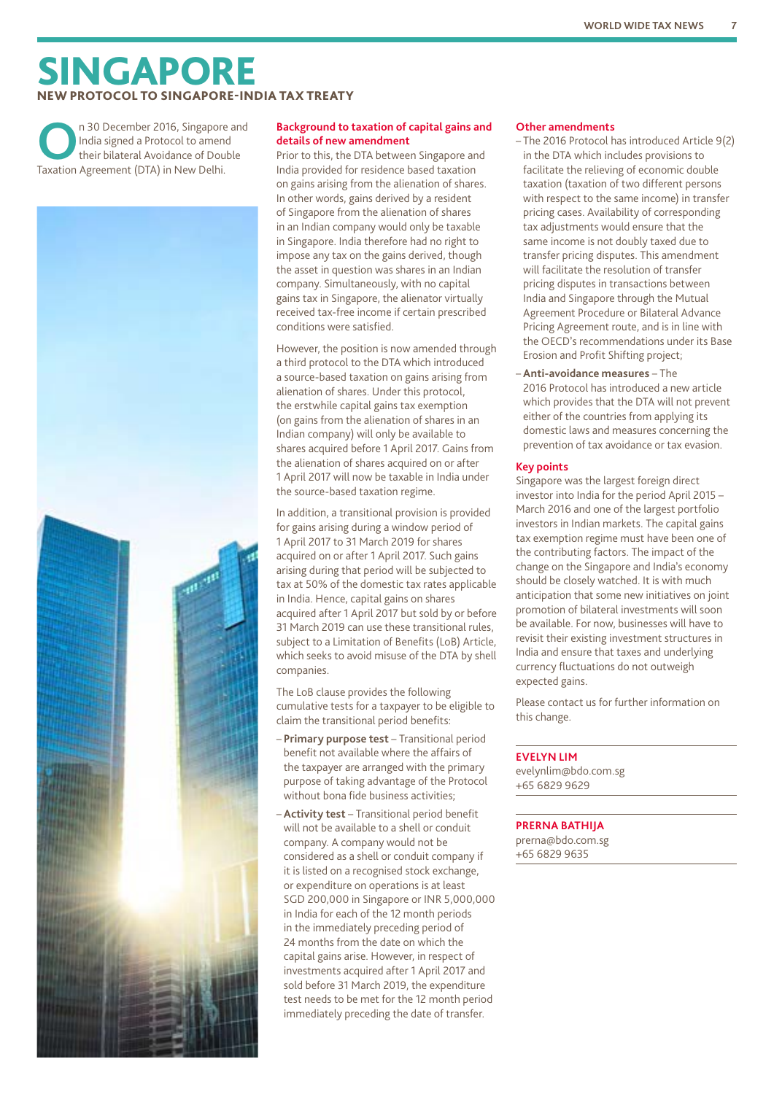## SINGAPORE **PROTOCOL TO SINGAPORE-INDIA TAX TREATY**

**O**n 30 December 2016, Singapore and India signed a Protocol to amend their bilateral Avoidance of Double Taxation Agreement (DTA) in New Delhi.



#### **Background to taxation of capital gains and details of new amendment**

Prior to this, the DTA between Singapore and India provided for residence based taxation on gains arising from the alienation of shares. In other words, gains derived by a resident of Singapore from the alienation of shares in an Indian company would only be taxable in Singapore. India therefore had no right to impose any tax on the gains derived, though the asset in question was shares in an Indian company. Simultaneously, with no capital gains tax in Singapore, the alienator virtually received tax-free income if certain prescribed conditions were satisfied.

However, the position is now amended through a third protocol to the DTA which introduced a source-based taxation on gains arising from alienation of shares. Under this protocol, the erstwhile capital gains tax exemption (on gains from the alienation of shares in an Indian company) will only be available to shares acquired before 1 April 2017. Gains from the alienation of shares acquired on or after 1 April 2017 will now be taxable in India under the source-based taxation regime.

In addition, a transitional provision is provided for gains arising during a window period of 1 April 2017 to 31 March 2019 for shares acquired on or after 1 April 2017. Such gains arising during that period will be subjected to tax at 50% of the domestic tax rates applicable in India. Hence, capital gains on shares acquired after 1 April 2017 but sold by or before 31 March 2019 can use these transitional rules, subject to a Limitation of Benefits (LoB) Article, which seeks to avoid misuse of the DTA by shell companies.

The LoB clause provides the following cumulative tests for a taxpayer to be eligible to claim the transitional period benefits:

- **Primary purpose test** Transitional period benefit not available where the affairs of the taxpayer are arranged with the primary purpose of taking advantage of the Protocol without bona fide business activities;
- **Activity test** Transitional period benefit will not be available to a shell or conduit company. A company would not be considered as a shell or conduit company if it is listed on a recognised stock exchange, or expenditure on operations is at least SGD 200,000 in Singapore or INR 5,000,000 in India for each of the 12 month periods in the immediately preceding period of 24 months from the date on which the capital gains arise. However, in respect of investments acquired after 1 April 2017 and sold before 31 March 2019, the expenditure test needs to be met for the 12 month period immediately preceding the date of transfer.

#### **Other amendments**

- The 2016 Protocol has introduced Article 9(2) in the DTA which includes provisions to facilitate the relieving of economic double taxation (taxation of two different persons with respect to the same income) in transfer pricing cases. Availability of corresponding tax adjustments would ensure that the same income is not doubly taxed due to transfer pricing disputes. This amendment will facilitate the resolution of transfer pricing disputes in transactions between India and Singapore through the Mutual Agreement Procedure or Bilateral Advance Pricing Agreement route, and is in line with the OECD's recommendations under its Base Erosion and Profit Shifting project;
- **Anti-avoidance measures** The 2016 Protocol has introduced a new article which provides that the DTA will not prevent either of the countries from applying its domestic laws and measures concerning the prevention of tax avoidance or tax evasion.

#### **Key points**

Singapore was the largest foreign direct investor into India for the period April 2015 – March 2016 and one of the largest portfolio investors in Indian markets. The capital gains tax exemption regime must have been one of the contributing factors. The impact of the change on the Singapore and India's economy should be closely watched. It is with much anticipation that some new initiatives on joint promotion of bilateral investments will soon be available. For now, businesses will have to revisit their existing investment structures in India and ensure that taxes and underlying currency fluctuations do not outweigh expected gains.

Please contact us for further information on this change.

#### **EVELYN LIM**

evelynlim@bdo.com.sg +65 6829 9629

#### **PRERNA BATHIJA**

prerna@bdo.com.sg +65 6829 9635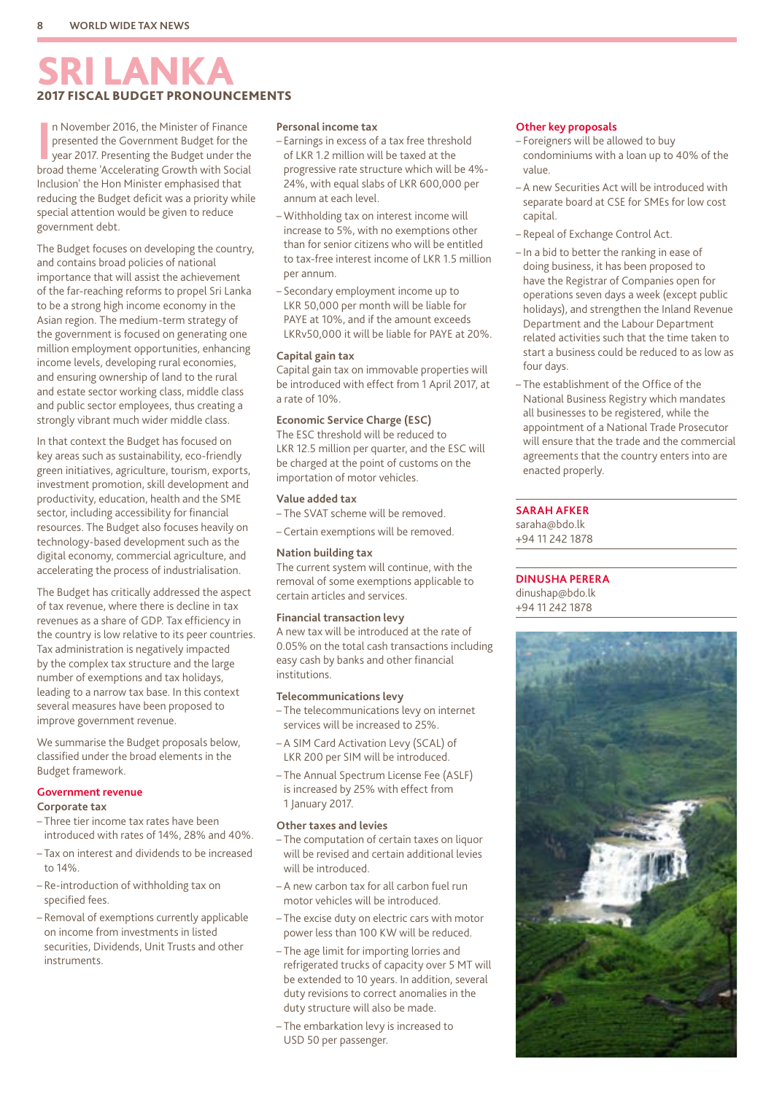## **RI LANK** 2017 FISCAL BUDGET PRONOUNCEMENTS

In November 2016, the Minister of Finance<br>
presented the Government Budget for the<br>
year 2017. Presenting the Budget under the<br>
broad theme 'Accelerating Growth with Social n November 2016, the Minister of Finance presented the Government Budget for the year 2017. Presenting the Budget under the Inclusion' the Hon Minister emphasised that reducing the Budget deficit was a priority while special attention would be given to reduce government debt.

The Budget focuses on developing the country, and contains broad policies of national importance that will assist the achievement of the far-reaching reforms to propel Sri Lanka to be a strong high income economy in the Asian region. The medium-term strategy of the government is focused on generating one million employment opportunities, enhancing income levels, developing rural economies, and ensuring ownership of land to the rural and estate sector working class, middle class and public sector employees, thus creating a strongly vibrant much wider middle class.

In that context the Budget has focused on key areas such as sustainability, eco-friendly green initiatives, agriculture, tourism, exports, investment promotion, skill development and productivity, education, health and the SME sector, including accessibility for financial resources. The Budget also focuses heavily on technology-based development such as the digital economy, commercial agriculture, and accelerating the process of industrialisation.

The Budget has critically addressed the aspect of tax revenue, where there is decline in tax revenues as a share of GDP. Tax efficiency in the country is low relative to its peer countries. Tax administration is negatively impacted by the complex tax structure and the large number of exemptions and tax holidays, leading to a narrow tax base. In this context several measures have been proposed to improve government revenue.

We summarise the Budget proposals below, classified under the broad elements in the Budget framework.

#### **Government revenue Corporate tax**

- 
- Three tier income tax rates have been introduced with rates of 14%, 28% and 40%.
- Tax on interest and dividends to be increased to 14%.
- Re-introduction of withholding tax on specified fees.
- Removal of exemptions currently applicable on income from investments in listed securities, Dividends, Unit Trusts and other instruments.

#### **Personal income tax**

- Earnings in excess of a tax free threshold of LKR 1.2 million will be taxed at the progressive rate structure which will be 4%- 24%, with equal slabs of LKR 600,000 per annum at each level.
- Withholding tax on interest income will increase to 5%, with no exemptions other than for senior citizens who will be entitled to tax-free interest income of LKR 1.5 million per annum.
- Secondary employment income up to LKR 50,000 per month will be liable for PAYE at 10%, and if the amount exceeds LKRv50,000 it will be liable for PAYE at 20%.

#### **Capital gain tax**

Capital gain tax on immovable properties will be introduced with effect from 1 April 2017, at a rate of 10%.

#### **Economic Service Charge (ESC)**

The ESC threshold will be reduced to LKR 12.5 million per quarter, and the ESC will be charged at the point of customs on the importation of motor vehicles.

#### **Value added tax**

- The SVAT scheme will be removed.
- Certain exemptions will be removed.

#### **Nation building tax**

The current system will continue, with the removal of some exemptions applicable to certain articles and services.

#### **Financial transaction levy**

A new tax will be introduced at the rate of 0.05% on the total cash transactions including easy cash by banks and other financial institutions.

#### **Telecommunications levy**

- The telecommunications levy on internet services will be increased to 25%.
- A SIM Card Activation Levy (SCAL) of LKR 200 per SIM will be introduced.
- The Annual Spectrum License Fee (ASLF) is increased by 25% with effect from 1 January 2017.

#### **Other taxes and levies**

- The computation of certain taxes on liquor will be revised and certain additional levies will be introduced.
- A new carbon tax for all carbon fuel run motor vehicles will be introduced.
- The excise duty on electric cars with motor power less than 100 KW will be reduced.
- The age limit for importing lorries and refrigerated trucks of capacity over 5 MT will be extended to 10 years. In addition, several duty revisions to correct anomalies in the duty structure will also be made.
- The embarkation levy is increased to USD 50 per passenger.

#### **Other key proposals**

- Foreigners will be allowed to buy condominiums with a loan up to 40% of the value.
- A new Securities Act will be introduced with separate board at CSE for SMEs for low cost capital.
- Repeal of Exchange Control Act.
- In a bid to better the ranking in ease of doing business, it has been proposed to have the Registrar of Companies open for operations seven days a week (except public holidays), and strengthen the Inland Revenue Department and the Labour Department related activities such that the time taken to start a business could be reduced to as low as four days.
- The establishment of the Office of the National Business Registry which mandates all businesses to be registered, while the appointment of a National Trade Prosecutor will ensure that the trade and the commercial agreements that the country enters into are enacted properly.

#### **SARAH AFKER**

saraha@bdo.lk +94 11 242 1878

#### **DINUSHA PERERA**

dinushap@bdo.lk +94 11 242 1878

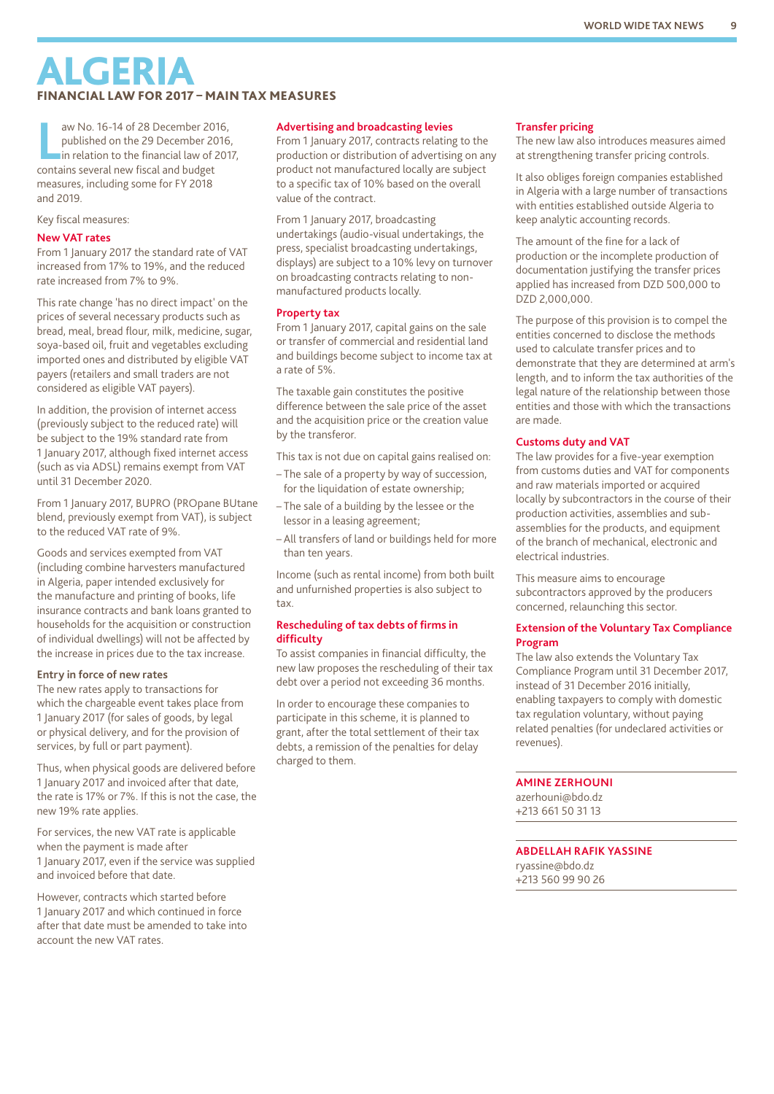## **ALGERIA** FINANCIAL LAW FOR 2017 – MAIN TAX MEASURES

aw No. 16-14 of 28 December 20<br>
published on the 29 December 20<br>
in relation to the financial law of 2<br>
contains several new fiscal and budget aw No. 16-14 of 28 December 2016, published on the 29 December 2016, in relation to the financial law of 2017, measures, including some for FY 2018 and 2019.

#### Key fiscal measures:

#### **New VAT rates**

From 1 January 2017 the standard rate of VAT increased from 17% to 19%, and the reduced rate increased from 7% to 9%.

This rate change 'has no direct impact' on the prices of several necessary products such as bread, meal, bread flour, milk, medicine, sugar, soya-based oil, fruit and vegetables excluding imported ones and distributed by eligible VAT payers (retailers and small traders are not considered as eligible VAT payers).

In addition, the provision of internet access (previously subject to the reduced rate) will be subject to the 19% standard rate from 1 January 2017, although fixed internet access (such as via ADSL) remains exempt from VAT until 31 December 2020.

From 1 January 2017, BUPRO (PROpane BUtane blend, previously exempt from VAT), is subject to the reduced VAT rate of 9%.

Goods and services exempted from VAT (including combine harvesters manufactured in Algeria, paper intended exclusively for the manufacture and printing of books, life insurance contracts and bank loans granted to households for the acquisition or construction of individual dwellings) will not be affected by the increase in prices due to the tax increase.

#### **Entry in force of new rates**

The new rates apply to transactions for which the chargeable event takes place from 1 January 2017 (for sales of goods, by legal or physical delivery, and for the provision of services, by full or part payment).

Thus, when physical goods are delivered before 1 January 2017 and invoiced after that date, the rate is 17% or 7%. If this is not the case, the new 19% rate applies.

For services, the new VAT rate is applicable when the payment is made after 1 January 2017, even if the service was supplied and invoiced before that date.

However, contracts which started before 1 January 2017 and which continued in force after that date must be amended to take into account the new VAT rates.

#### **Advertising and broadcasting levies**

From 1 January 2017, contracts relating to the production or distribution of advertising on any product not manufactured locally are subject to a specific tax of 10% based on the overall value of the contract.

From 1 January 2017, broadcasting undertakings (audio-visual undertakings, the press, specialist broadcasting undertakings, displays) are subject to a 10% levy on turnover on broadcasting contracts relating to nonmanufactured products locally.

#### **Property tax**

From 1 January 2017, capital gains on the sale or transfer of commercial and residential land and buildings become subject to income tax at a rate of 5%.

The taxable gain constitutes the positive difference between the sale price of the asset and the acquisition price or the creation value by the transferor.

This tax is not due on capital gains realised on:

- The sale of a property by way of succession, for the liquidation of estate ownership;
- The sale of a building by the lessee or the lessor in a leasing agreement;
- All transfers of land or buildings held for more than ten years.

Income (such as rental income) from both built and unfurnished properties is also subject to tax.

#### **Rescheduling of tax debts of firms in difficulty**

To assist companies in financial difficulty, the new law proposes the rescheduling of their tax debt over a period not exceeding 36 months.

In order to encourage these companies to participate in this scheme, it is planned to grant, after the total settlement of their tax debts, a remission of the penalties for delay charged to them.

#### **Transfer pricing**

The new law also introduces measures aimed at strengthening transfer pricing controls.

It also obliges foreign companies established in Algeria with a large number of transactions with entities established outside Algeria to keep analytic accounting records.

The amount of the fine for a lack of production or the incomplete production of documentation justifying the transfer prices applied has increased from DZD 500,000 to DZD 2,000,000.

The purpose of this provision is to compel the entities concerned to disclose the methods used to calculate transfer prices and to demonstrate that they are determined at arm's length, and to inform the tax authorities of the legal nature of the relationship between those entities and those with which the transactions are made.

#### **Customs duty and VAT**

The law provides for a five-year exemption from customs duties and VAT for components and raw materials imported or acquired locally by subcontractors in the course of their production activities, assemblies and subassemblies for the products, and equipment of the branch of mechanical, electronic and electrical industries.

This measure aims to encourage subcontractors approved by the producers concerned, relaunching this sector.

#### **Extension of the Voluntary Tax Compliance Program**

The law also extends the Voluntary Tax Compliance Program until 31 December 2017, instead of 31 December 2016 initially, enabling taxpayers to comply with domestic tax regulation voluntary, without paying related penalties (for undeclared activities or revenues).

#### **AMINE ZERHOUNI**

azerhouni@bdo.dz +213 661 50 31 13

#### **ABDELLAH RAFIK YASSINE**

ryassine@bdo.dz +213 560 99 90 26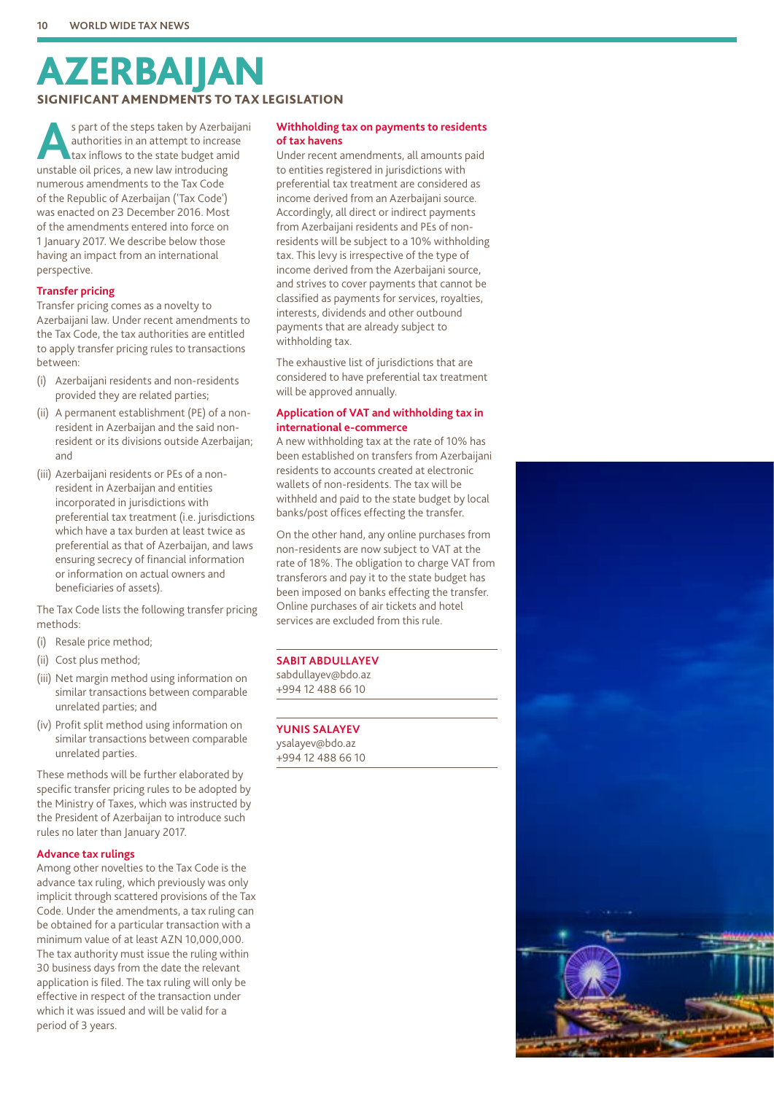## AZERBAIJAN SIGNIFICANT AMENDMENTS TO TAX LEGISLATION

**A**s part of the steps taken by Azerbaijani authorities in an attempt to increase tax inflows to the state budget amid unstable oil prices, a new law introducing numerous amendments to the Tax Code of the Republic of Azerbaijan ('Tax Code') was enacted on 23 December 2016. Most of the amendments entered into force on 1 January 2017. We describe below those having an impact from an international perspective.

#### **Transfer pricing**

Transfer pricing comes as a novelty to Azerbaijani law. Under recent amendments to the Tax Code, the tax authorities are entitled to apply transfer pricing rules to transactions between:

- (i) Azerbaijani residents and non-residents provided they are related parties;
- (ii) A permanent establishment (PE) of a nonresident in Azerbaijan and the said nonresident or its divisions outside Azerbaijan; and
- (iii) Azerbaijani residents or PEs of a nonresident in Azerbaijan and entities incorporated in jurisdictions with preferential tax treatment (i.e. jurisdictions which have a tax burden at least twice as preferential as that of Azerbaijan, and laws ensuring secrecy of financial information or information on actual owners and beneficiaries of assets).

The Tax Code lists the following transfer pricing methods:

- (i) Resale price method;
- (ii) Cost plus method;
- (iii) Net margin method using information on similar transactions between comparable unrelated parties; and
- (iv) Profit split method using information on similar transactions between comparable unrelated parties.

These methods will be further elaborated by specific transfer pricing rules to be adopted by the Ministry of Taxes, which was instructed by the President of Azerbaijan to introduce such rules no later than January 2017.

#### **Advance tax rulings**

Among other novelties to the Tax Code is the advance tax ruling, which previously was only implicit through scattered provisions of the Tax Code. Under the amendments, a tax ruling can be obtained for a particular transaction with a minimum value of at least AZN 10,000,000. The tax authority must issue the ruling within 30 business days from the date the relevant application is filed. The tax ruling will only be effective in respect of the transaction under which it was issued and will be valid for a period of 3 years.

#### **Withholding tax on payments to residents of tax havens**

Under recent amendments, all amounts paid to entities registered in jurisdictions with preferential tax treatment are considered as income derived from an Azerbaijani source. Accordingly, all direct or indirect payments from Azerbaijani residents and PEs of nonresidents will be subject to a 10% withholding tax. This levy is irrespective of the type of income derived from the Azerbaijani source, and strives to cover payments that cannot be classified as payments for services, royalties, interests, dividends and other outbound payments that are already subject to withholding tax.

The exhaustive list of jurisdictions that are considered to have preferential tax treatment will be approved annually.

#### **Application of VAT and withholding tax in international e-commerce**

A new withholding tax at the rate of 10% has been established on transfers from Azerbaijani residents to accounts created at electronic wallets of non-residents. The tax will be withheld and paid to the state budget by local banks/post offices effecting the transfer.

On the other hand, any online purchases from non-residents are now subject to VAT at the rate of 18%. The obligation to charge VAT from transferors and pay it to the state budget has been imposed on banks effecting the transfer. Online purchases of air tickets and hotel services are excluded from this rule.

#### **SABIT ABDULLAYEV**

sabdullayev@bdo.az +994 12 488 66 10

#### **YUNIS SALAYEV**

ysalayev@bdo.az +994 12 488 66 10

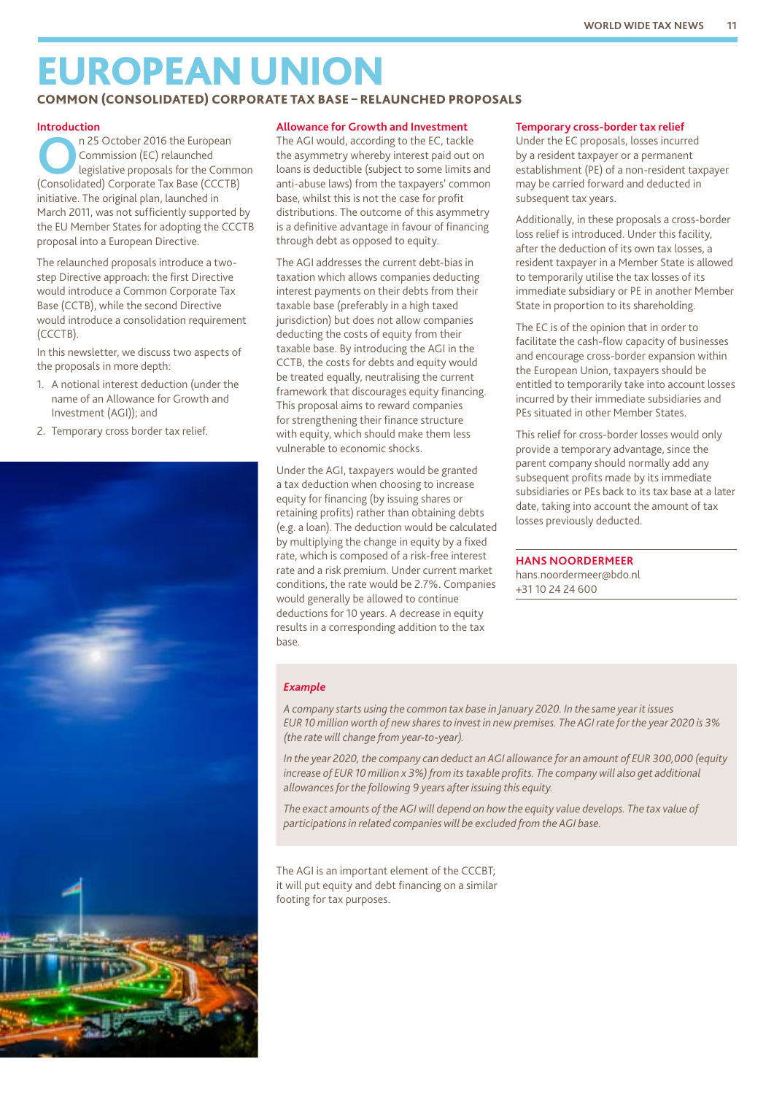## EUROPEANUNION

#### COMMON (CONSOLIDATED) CORPORATE TAX BASE – RELAUNCHED PROPOSALS

#### **Introduction**

**OPEN 25 October 2016 the European<br>
Commission (EC) relaunched<br>
legislative proposals for the Common<br>
Consolidated) Corporate Tax Base (CCCTB)** Commission (EC) relaunched (Consolidated) Corporate Tax Base (CCCTB) initiative. The original plan, launched in March 2011, was not sufficiently supported by the EU Member States for adopting the CCCTB proposal into a European Directive.

The relaunched proposals introduce a twostep Directive approach: the first Directive would introduce a Common Corporate Tax Base (CCTB), while the second Directive would introduce a consolidation requirement (CCCTB).

In this newsletter, we discuss two aspects of the proposals in more depth:

- 1. A notional interest deduction (under the name of an Allowance for Growth and Investment (AGI)); and
- 2. Temporary cross border tax relief.



#### **Allowance for Growth and Investment**

The AGI would, according to the EC, tackle the asymmetry whereby interest paid out on loans is deductible (subject to some limits and anti-abuse laws) from the taxpayers' common base, whilst this is not the case for profit distributions. The outcome of this asymmetry is a definitive advantage in favour of financing through debt as opposed to equity.

The AGI addresses the current debt-bias in taxation which allows companies deducting interest payments on their debts from their taxable base (preferably in a high taxed jurisdiction) but does not allow companies deducting the costs of equity from their taxable base. By introducing the AGI in the CCTB, the costs for debts and equity would be treated equally, neutralising the current framework that discourages equity financing. This proposal aims to reward companies for strengthening their finance structure with equity, which should make them less vulnerable to economic shocks.

Under the AGI, taxpayers would be granted a tax deduction when choosing to increase equity for financing (by issuing shares or retaining profits) rather than obtaining debts (e.g. a loan). The deduction would be calculated by multiplying the change in equity by a fixed rate, which is composed of a risk-free interest rate and a risk premium. Under current market conditions, the rate would be 2.7%. Companies would generally be allowed to continue deductions for 10 years. A decrease in equity results in a corresponding addition to the tax base.

#### **Temporary cross-border tax relief**

Under the EC proposals, losses incurred by a resident taxpayer or a permanent establishment (PE) of a non-resident taxpayer may be carried forward and deducted in subsequent tax years.

Additionally, in these proposals a cross-border loss relief is introduced. Under this facility, after the deduction of its own tax losses, a resident taxpayer in a Member State is allowed to temporarily utilise the tax losses of its immediate subsidiary or PE in another Member State in proportion to its shareholding.

The EC is of the opinion that in order to facilitate the cash-flow capacity of businesses and encourage cross-border expansion within the European Union, taxpayers should be entitled to temporarily take into account losses incurred by their immediate subsidiaries and PEs situated in other Member States.

This relief for cross-border losses would only provide a temporary advantage, since the parent company should normally add any subsequent profits made by its immediate subsidiaries or PEs back to its tax base at a later date, taking into account the amount of tax losses previously deducted.

#### **HANS NOORDERMEER**

hans.noordermeer@bdo.nl +31 10 24 24 600

#### *Example*

*A company starts using the common tax base in January 2020. In the same year it issues EUR 10 million worth of new shares to invest in new premises. The AGI rate for the year 2020 is 3% (the rate will change from year-to-year).*

*In the year 2020, the company can deduct an AGI allowance for an amount of EUR 300,000 (equity increase of EUR 10 million x 3%) from its taxable profits. The company will also get additional allowances for the following 9 years after issuing this equity.*

*The exact amounts of the AGI will depend on how the equity value develops. The tax value of participations in related companies will be excluded from the AGI base.*

The AGI is an important element of the CCCBT; it will put equity and debt financing on a similar footing for tax purposes.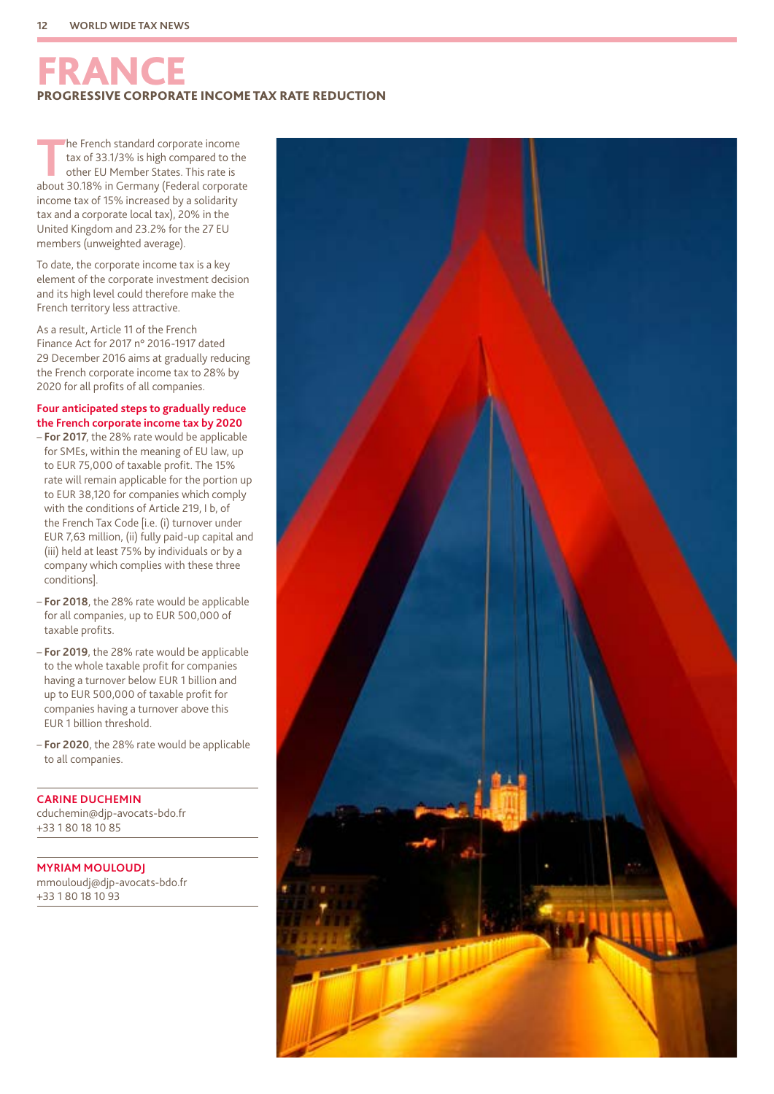## FRANCE INCOME TAX RATE REDUCTION

The French standard corporate income<br>tax of 33.1/3% is high compared to the<br>other EU Member States. This rate is<br>about 30.18% in Cormany (Federal corporat tax of 33.1/3% is high compared to the other EU Member States. This rate is about 30.18% in Germany (Federal corporate income tax of 15% increased by a solidarity tax and a corporate local tax), 20% in the United Kingdom and 23.2% for the 27 EU members (unweighted average).

To date, the corporate income tax is a key element of the corporate investment decision and its high level could therefore make the French territory less attractive.

As a result, Article 11 of the French Finance Act for 2017 n° 2016-1917 dated 29 December 2016 aims at gradually reducing the French corporate income tax to 28% by 2020 for all profits of all companies.

#### **Four anticipated steps to gradually reduce the French corporate income tax by 2020**

- **For 2017**, the 28% rate would be applicable for SMEs, within the meaning of EU law, up to EUR 75,000 of taxable profit. The 15% rate will remain applicable for the portion up to EUR 38,120 for companies which comply with the conditions of Article 219, I b, of the French Tax Code [i.e. (i) turnover under EUR 7,63 million, (ii) fully paid-up capital and (iii) held at least 75% by individuals or by a company which complies with these three conditions].
- **For 2018**, the 28% rate would be applicable for all companies, up to EUR 500,000 of taxable profits.
- **For 2019**, the 28% rate would be applicable to the whole taxable profit for companies having a turnover below EUR 1 billion and up to EUR 500,000 of taxable profit for companies having a turnover above this EUR 1 billion threshold.
- **For 2020**, the 28% rate would be applicable to all companies.

**CARINE DUCHEMIN** cduchemin@djp-avocats-bdo.fr +33 1 80 18 10 85

**MYRIAM MOULOUDJ** mmouloudj@djp-avocats-bdo.fr +33 1 80 18 10 93

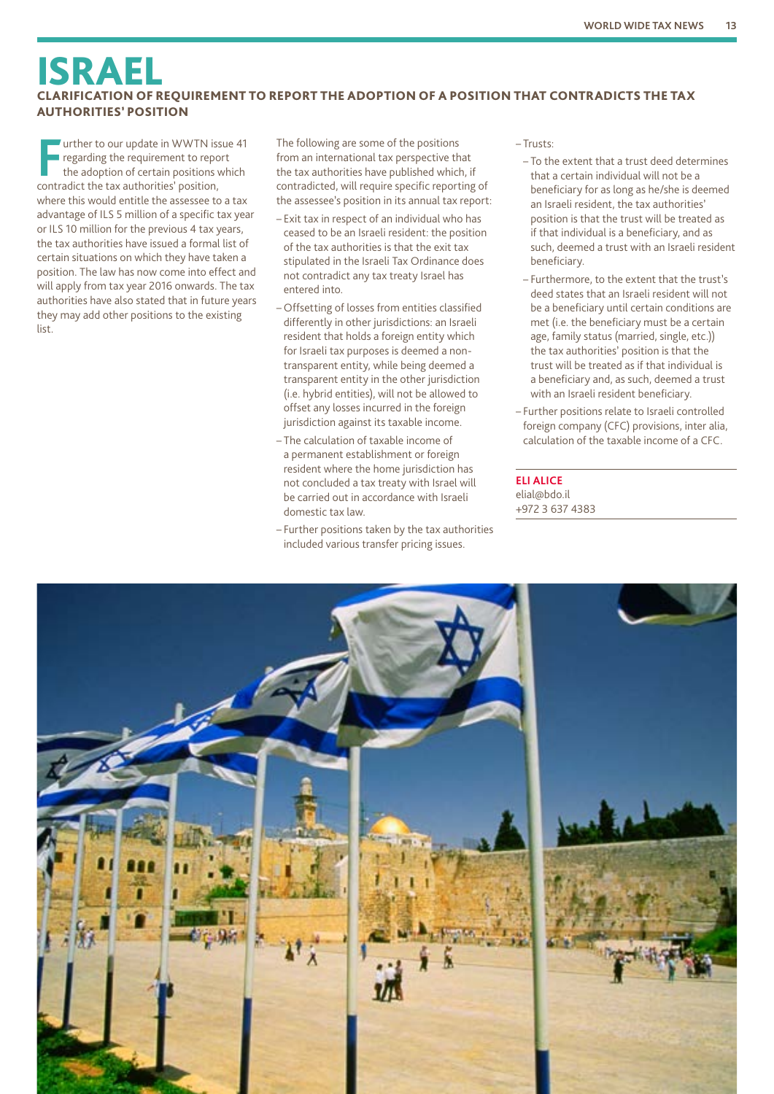### ISRAEL CLARIFICATION OF REQUIREMENT TO REPORT THE ADOPTION OF A POSITION THAT CONTRADICTS THE TAX AUTHORITIES' POSITION

**FF** wither to our update in WWTN issergarding the requirement to reportion adoption of certain positions v contradict the tax authorities' position, Uurther to our update in WWTN issue 41 regarding the requirement to report the adoption of certain positions which where this would entitle the assessee to a tax advantage of ILS 5 million of a specific tax year or ILS 10 million for the previous 4 tax years, the tax authorities have issued a formal list of certain situations on which they have taken a position. The law has now come into effect and will apply from tax year 2016 onwards. The tax authorities have also stated that in future years they may add other positions to the existing list.

The following are some of the positions from an international tax perspective that the tax authorities have published which, if contradicted, will require specific reporting of the assessee's position in its annual tax report:

- Exit tax in respect of an individual who has ceased to be an Israeli resident: the position of the tax authorities is that the exit tax stipulated in the Israeli Tax Ordinance does not contradict any tax treaty Israel has entered into.
- Offsetting of losses from entities classified differently in other jurisdictions: an Israeli resident that holds a foreign entity which for Israeli tax purposes is deemed a nontransparent entity, while being deemed a transparent entity in the other jurisdiction (i.e. hybrid entities), will not be allowed to offset any losses incurred in the foreign jurisdiction against its taxable income.
- The calculation of taxable income of a permanent establishment or foreign resident where the home jurisdiction has not concluded a tax treaty with Israel will be carried out in accordance with Israeli domestic tax law.
- Further positions taken by the tax authorities included various transfer pricing issues.

– Trusts:

- To the extent that a trust deed determines that a certain individual will not be a beneficiary for as long as he/she is deemed an Israeli resident, the tax authorities' position is that the trust will be treated as if that individual is a beneficiary, and as such, deemed a trust with an Israeli resident beneficiary.
- Furthermore, to the extent that the trust's deed states that an Israeli resident will not be a beneficiary until certain conditions are met (i.e. the beneficiary must be a certain age, family status (married, single, etc.)) the tax authorities' position is that the trust will be treated as if that individual is a beneficiary and, as such, deemed a trust with an Israeli resident beneficiary.
- Further positions relate to Israeli controlled foreign company (CFC) provisions, inter alia, calculation of the taxable income of a CFC.

**ELI ALICE** elial@bdo.il +972 3 637 4383

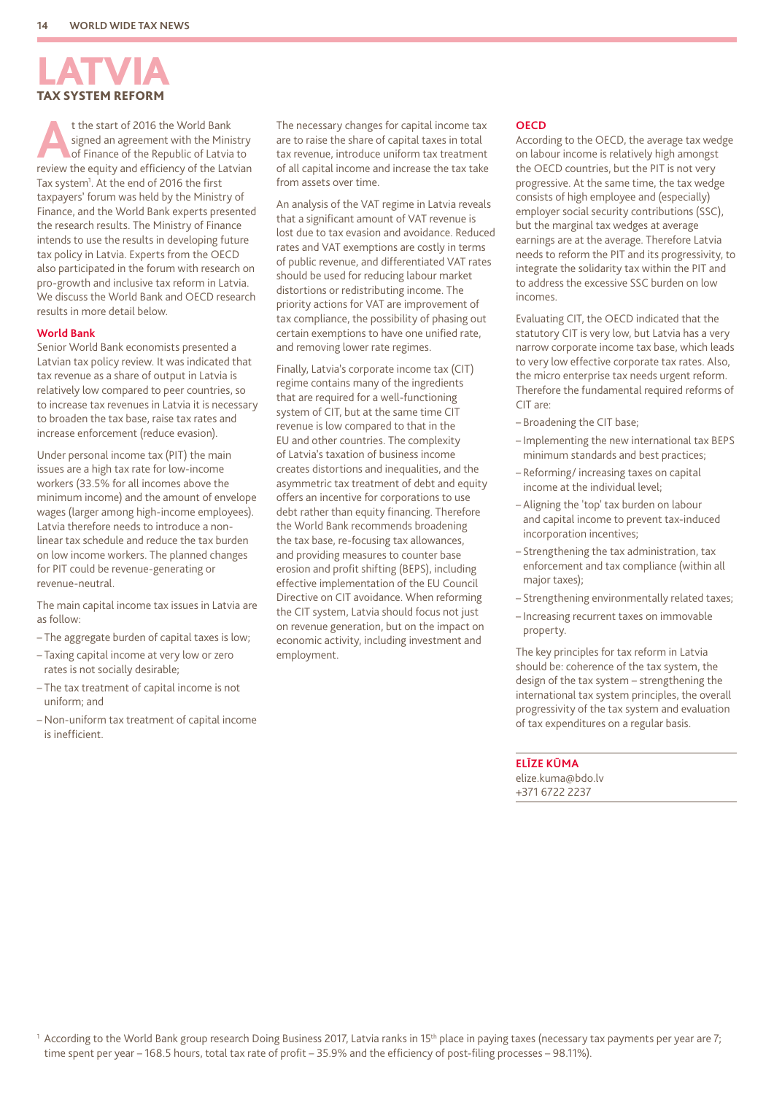## LATVIA TAX SYSTEM REFORM

t the start of 2016 the World Bank<br>
signed an agreement with the Ministry<br>
of Finance of the Republic of Latvia to<br>
specify and officiancy of the Latvian signed an agreement with the Ministry review the equity and efficiency of the Latvian Tax system<sup>1</sup>. At the end of 2016 the first taxpayers' forum was held by the Ministry of Finance, and the World Bank experts presented the research results. The Ministry of Finance intends to use the results in developing future tax policy in Latvia. Experts from the OECD also participated in the forum with research on pro-growth and inclusive tax reform in Latvia. We discuss the World Bank and OECD research results in more detail below.

#### **World Bank**

Senior World Bank economists presented a Latvian tax policy review. It was indicated that tax revenue as a share of output in Latvia is relatively low compared to peer countries, so to increase tax revenues in Latvia it is necessary to broaden the tax base, raise tax rates and increase enforcement (reduce evasion).

Under personal income tax (PIT) the main issues are a high tax rate for low-income workers (33.5% for all incomes above the minimum income) and the amount of envelope wages (larger among high-income employees). Latvia therefore needs to introduce a nonlinear tax schedule and reduce the tax burden on low income workers. The planned changes for PIT could be revenue-generating or revenue-neutral.

The main capital income tax issues in Latvia are as follow:

- The aggregate burden of capital taxes is low;
- Taxing capital income at very low or zero rates is not socially desirable;
- The tax treatment of capital income is not uniform; and
- Non-uniform tax treatment of capital income is inefficient.

The necessary changes for capital income tax are to raise the share of capital taxes in total tax revenue, introduce uniform tax treatment of all capital income and increase the tax take from assets over time.

An analysis of the VAT regime in Latvia reveals that a significant amount of VAT revenue is lost due to tax evasion and avoidance. Reduced rates and VAT exemptions are costly in terms of public revenue, and differentiated VAT rates should be used for reducing labour market distortions or redistributing income. The priority actions for VAT are improvement of tax compliance, the possibility of phasing out certain exemptions to have one unified rate, and removing lower rate regimes.

Finally, Latvia's corporate income tax (CIT) regime contains many of the ingredients that are required for a well-functioning system of CIT, but at the same time CIT revenue is low compared to that in the EU and other countries. The complexity of Latvia's taxation of business income creates distortions and inequalities, and the asymmetric tax treatment of debt and equity offers an incentive for corporations to use debt rather than equity financing. Therefore the World Bank recommends broadening the tax base, re-focusing tax allowances, and providing measures to counter base erosion and profit shifting (BEPS), including effective implementation of the EU Council Directive on CIT avoidance. When reforming the CIT system, Latvia should focus not just on revenue generation, but on the impact on economic activity, including investment and employment.

#### **OECD**

According to the OECD, the average tax wedge on labour income is relatively high amongst the OECD countries, but the PIT is not very progressive. At the same time, the tax wedge consists of high employee and (especially) employer social security contributions (SSC), but the marginal tax wedges at average earnings are at the average. Therefore Latvia needs to reform the PIT and its progressivity, to integrate the solidarity tax within the PIT and to address the excessive SSC burden on low incomes.

Evaluating CIT, the OECD indicated that the statutory CIT is very low, but Latvia has a very narrow corporate income tax base, which leads to very low effective corporate tax rates. Also, the micro enterprise tax needs urgent reform. Therefore the fundamental required reforms of CIT are:

- Broadening the CIT base;
- Implementing the new international tax BEPS minimum standards and best practices;
- Reforming/ increasing taxes on capital income at the individual level;
- Aligning the 'top' tax burden on labour and capital income to prevent tax-induced incorporation incentives;
- Strengthening the tax administration, tax enforcement and tax compliance (within all major taxes);
- Strengthening environmentally related taxes;
- Increasing recurrent taxes on immovable property.

The key principles for tax reform in Latvia should be: coherence of the tax system, the design of the tax system – strengthening the international tax system principles, the overall progressivity of the tax system and evaluation of tax expenditures on a regular basis.

#### **ELĪZE KŪMA**

elize.kuma@bdo.lv +371 6722 2237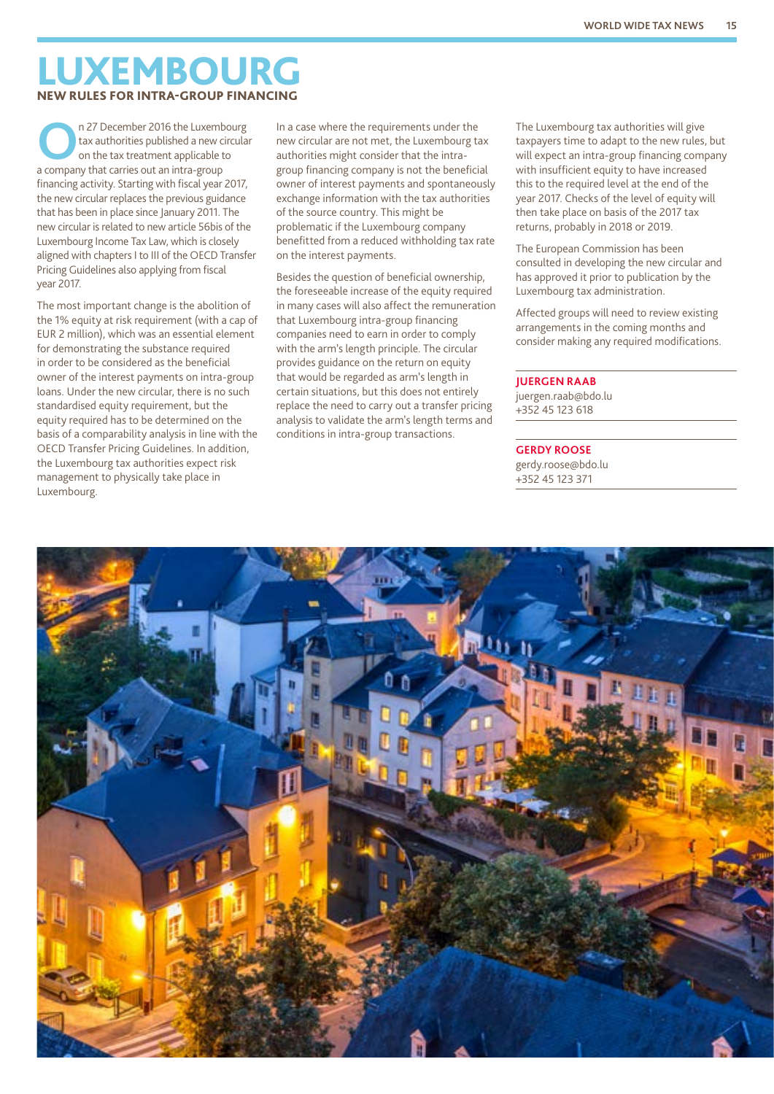## LUXEMBOURG NEW RULES FOR INTRA-GROUP FINANCING

**O**n 27 December 2016 the Luxembourg<br>
tax authorities published a new circula<br>
on the tax treatment applicable to tax authorities published a new circular on the tax treatment applicable to a company that carries out an intra-group financing activity. Starting with fiscal year 2017, the new circular replaces the previous guidance that has been in place since January 2011. The new circular is related to new article 56bis of the Luxembourg Income Tax Law, which is closely aligned with chapters I to III of the OECD Transfer Pricing Guidelines also applying from fiscal year 2017.

The most important change is the abolition of the 1% equity at risk requirement (with a cap of EUR 2 million), which was an essential element for demonstrating the substance required in order to be considered as the beneficial owner of the interest payments on intra-group loans. Under the new circular, there is no such standardised equity requirement, but the equity required has to be determined on the basis of a comparability analysis in line with the OECD Transfer Pricing Guidelines. In addition, the Luxembourg tax authorities expect risk management to physically take place in Luxembourg.

In a case where the requirements under the new circular are not met, the Luxembourg tax authorities might consider that the intragroup financing company is not the beneficial owner of interest payments and spontaneously exchange information with the tax authorities of the source country. This might be problematic if the Luxembourg company benefitted from a reduced withholding tax rate on the interest payments.

Besides the question of beneficial ownership, the foreseeable increase of the equity required in many cases will also affect the remuneration that Luxembourg intra-group financing companies need to earn in order to comply with the arm's length principle. The circular provides guidance on the return on equity that would be regarded as arm's length in certain situations, but this does not entirely replace the need to carry out a transfer pricing analysis to validate the arm's length terms and conditions in intra-group transactions.

The Luxembourg tax authorities will give taxpayers time to adapt to the new rules, but will expect an intra-group financing company with insufficient equity to have increased this to the required level at the end of the year 2017. Checks of the level of equity will then take place on basis of the 2017 tax returns, probably in 2018 or 2019.

The European Commission has been consulted in developing the new circular and has approved it prior to publication by the Luxembourg tax administration.

Affected groups will need to review existing arrangements in the coming months and consider making any required modifications.

#### **JUERGEN RAAB**

juergen.raab@bdo.lu +352 45 123 618

#### **GERDY ROOSE**

gerdy.roose@bdo.lu +352 45 123 371

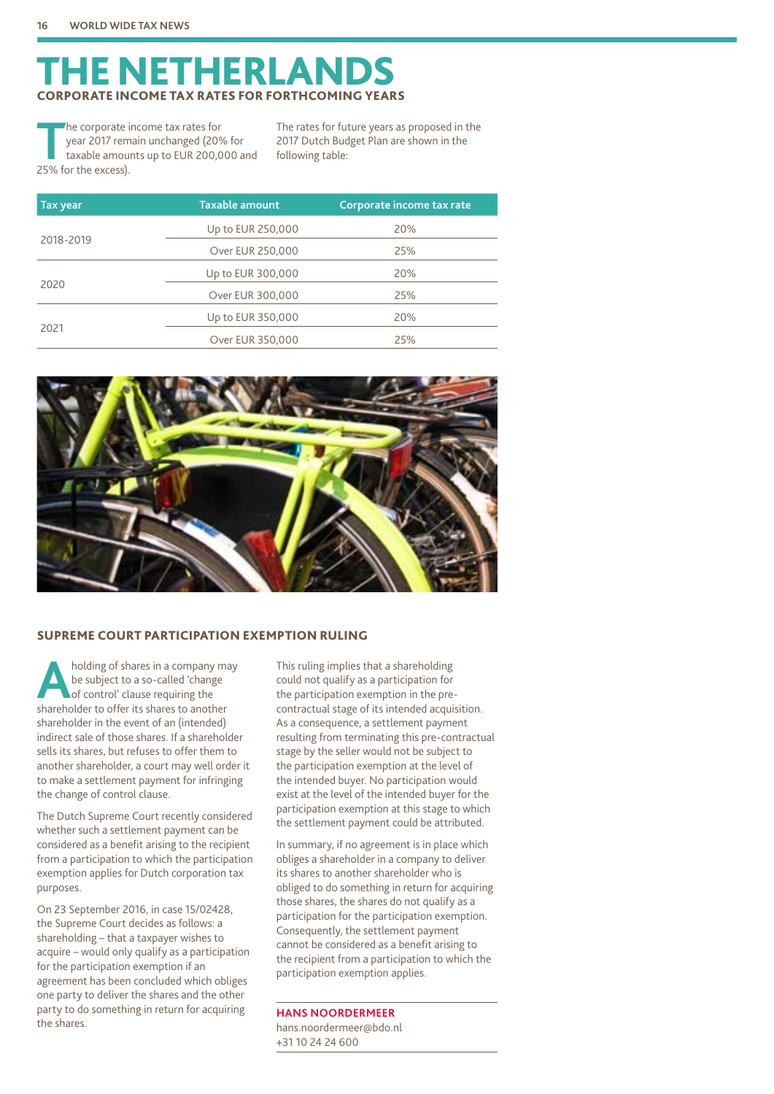## **NETHERLANDS** CORPORATE INCOME TAX RATES FOR FORTHCOMING YEARS

The corporate income tax rates for<br>year 2017 remain unchanged (20%<br>taxable amounts up to EUR 200,0 year 2017 remain unchanged (20% for taxable amounts up to EUR 200,000 and 25% for the excess).

The rates for future years as proposed in the 2017 Dutch Budget Plan are shown in the following table:

| <b>Tax year</b> | <b>Taxable amount</b> | Corporate income tax rate |
|-----------------|-----------------------|---------------------------|
|                 | Up to EUR 250,000     | 20%                       |
| 2018-2019       | Over EUR 250,000      | 25%                       |
|                 | Up to EUR 300,000     | 20%                       |
| 2020            | Over EUR 300,000      | 25%                       |
|                 | Up to EUR 350,000     | 20%                       |
| 2021            | Over EUR 350,000      | 25%                       |



#### SUPREME COURT PARTICIPATION EXEMPTION RULING

**A** holding of shares in a company may<br>be subject to a so-called 'change<br>of control' clause requiring the<br>shareholder to offer its shares to apother be subject to a so-called 'change shareholder to offer its shares to another shareholder in the event of an (intended) indirect sale of those shares. If a shareholder sells its shares, but refuses to offer them to another shareholder, a court may well order it to make a settlement payment for infringing the change of control clause.

The Dutch Supreme Court recently considered whether such a settlement payment can be considered as a benefit arising to the recipient from a participation to which the participation exemption applies for Dutch corporation tax purposes.

On 23 September 2016, in case 15/02428, the Supreme Court decides as follows: a shareholding – that a taxpayer wishes to acquire – would only qualify as a participation for the participation exemption if an agreement has been concluded which obliges one party to deliver the shares and the other party to do something in return for acquiring the shares.

This ruling implies that a shareholding could not qualify as a participation for the participation exemption in the precontractual stage of its intended acquisition. As a consequence, a settlement payment resulting from terminating this pre-contractual stage by the seller would not be subject to the participation exemption at the level of the intended buyer. No participation would exist at the level of the intended buyer for the participation exemption at this stage to which the settlement payment could be attributed.

In summary, if no agreement is in place which obliges a shareholder in a company to deliver its shares to another shareholder who is obliged to do something in return for acquiring those shares, the shares do not qualify as a participation for the participation exemption. Consequently, the settlement payment cannot be considered as a benefit arising to the recipient from a participation to which the participation exemption applies.

**HANS NOORDERMEER** hans.noordermeer@bdo.nl +31 10 24 24 600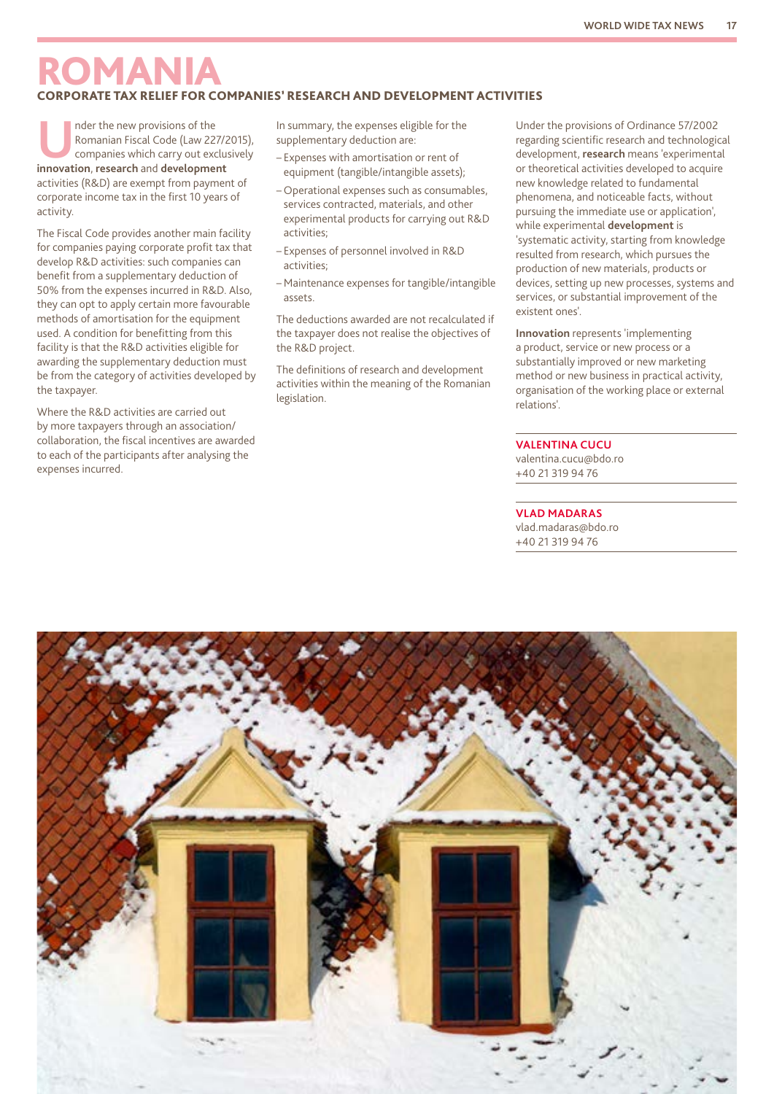### ROMANIA CORPORATE TAX RELIEF FOR COMPANIES' RESEARCH AND DEVELOPMENT ACTIVITIES

Inder the new provisions of the<br>
Romanian Fiscal Code (Law 227/2015),<br>
companies which carry out exclusively<br> **innovation** research and development Romanian Fiscal Code (Law 227/2015), **innovation**, **research** and **development** activities (R&D) are exempt from payment of corporate income tax in the first 10 years of activity.

The Fiscal Code provides another main facility for companies paying corporate profit tax that develop R&D activities: such companies can benefit from a supplementary deduction of 50% from the expenses incurred in R&D. Also, they can opt to apply certain more favourable methods of amortisation for the equipment used. A condition for benefitting from this facility is that the R&D activities eligible for awarding the supplementary deduction must be from the category of activities developed by the taxpayer.

Where the R&D activities are carried out by more taxpayers through an association/ collaboration, the fiscal incentives are awarded to each of the participants after analysing the expenses incurred.

In summary, the expenses eligible for the supplementary deduction are:

- Expenses with amortisation or rent of equipment (tangible/intangible assets);
- Operational expenses such as consumables, services contracted, materials, and other experimental products for carrying out R&D activities;
- Expenses of personnel involved in R&D activities;
- Maintenance expenses for tangible/intangible assets.

The deductions awarded are not recalculated if the taxpayer does not realise the objectives of the R&D project.

The definitions of research and development activities within the meaning of the Romanian legislation.

Under the provisions of Ordinance 57/2002 regarding scientific research and technological development, **research** means 'experimental or theoretical activities developed to acquire new knowledge related to fundamental phenomena, and noticeable facts, without pursuing the immediate use or application', while experimental **development** is 'systematic activity, starting from knowledge resulted from research, which pursues the production of new materials, products or devices, setting up new processes, systems and services, or substantial improvement of the existent ones'.

**Innovation** represents 'implementing a product, service or new process or a substantially improved or new marketing method or new business in practical activity, organisation of the working place or external relations'.

#### **VALENTINA CUCU**

valentina.cucu@bdo.ro +40 21 319 94 76

#### **VLAD MADARAS**

vlad.madaras@bdo.ro +40 21 319 94 76

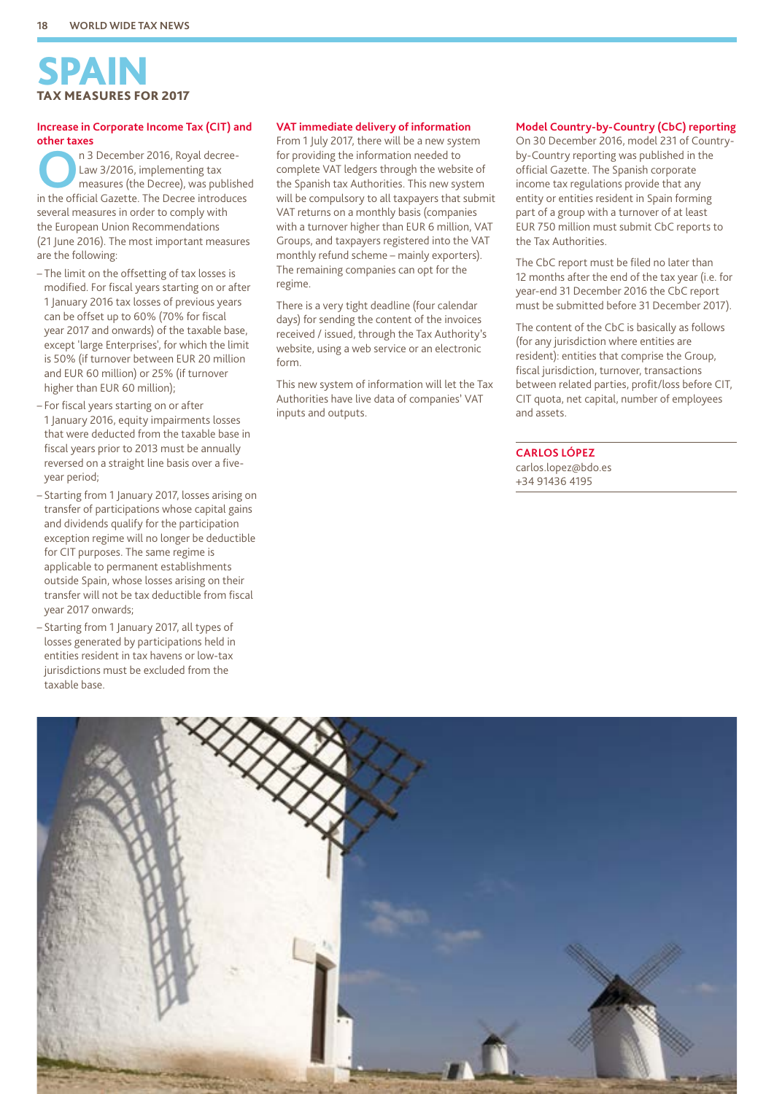## SPAIN TAX MEASURES FOR 2017

#### **Increase in Corporate Income Tax (CIT) and other taxes**

**OPEN TRANSITY 18 DECEMBER 2016, Royal decree-**<br>
Law 3/2016, implementing tax<br>
measures (the Decree), was published<br>
in the official Gazette, The Decree introduces Law 3/2016, implementing tax in the official Gazette. The Decree introduces several measures in order to comply with the European Union Recommendations (21 June 2016). The most important measures are the following:

- The limit on the offsetting of tax losses is modified. For fiscal years starting on or after 1 January 2016 tax losses of previous years can be offset up to 60% (70% for fiscal year 2017 and onwards) of the taxable base, except 'large Enterprises', for which the limit is 50% (if turnover between EUR 20 million and EUR 60 million) or 25% (if turnover higher than EUR 60 million);
- For fiscal years starting on or after 1 January 2016, equity impairments losses that were deducted from the taxable base in fiscal years prior to 2013 must be annually reversed on a straight line basis over a fiveyear period;
- Starting from 1 January 2017, losses arising on transfer of participations whose capital gains and dividends qualify for the participation exception regime will no longer be deductible for CIT purposes. The same regime is applicable to permanent establishments outside Spain, whose losses arising on their transfer will not be tax deductible from fiscal year 2017 onwards;
- Starting from 1 January 2017, all types of losses generated by participations held in entities resident in tax havens or low-tax jurisdictions must be excluded from the taxable base.

#### **VAT immediate delivery of information**

From 1 July 2017, there will be a new system for providing the information needed to complete VAT ledgers through the website of the Spanish tax Authorities. This new system will be compulsory to all taxpayers that submit VAT returns on a monthly basis (companies with a turnover higher than EUR 6 million, VAT Groups, and taxpayers registered into the VAT monthly refund scheme – mainly exporters). The remaining companies can opt for the regime.

There is a very tight deadline (four calendar days) for sending the content of the invoices received / issued, through the Tax Authority's website, using a web service or an electronic form.

This new system of information will let the Tax Authorities have live data of companies' VAT inputs and outputs.

#### **Model Country-by-Country (CbC) reporting**

On 30 December 2016, model 231 of Countryby-Country reporting was published in the official Gazette. The Spanish corporate income tax regulations provide that any entity or entities resident in Spain forming part of a group with a turnover of at least EUR 750 million must submit CbC reports to the Tax Authorities.

The CbC report must be filed no later than 12 months after the end of the tax year (i.e. for year-end 31 December 2016 the CbC report must be submitted before 31 December 2017).

The content of the CbC is basically as follows (for any jurisdiction where entities are resident): entities that comprise the Group, fiscal jurisdiction, turnover, transactions between related parties, profit/loss before CIT, CIT quota, net capital, number of employees and assets.

#### **CARLOS LÓPEZ**

carlos.lopez@bdo.es +34 91436 4195

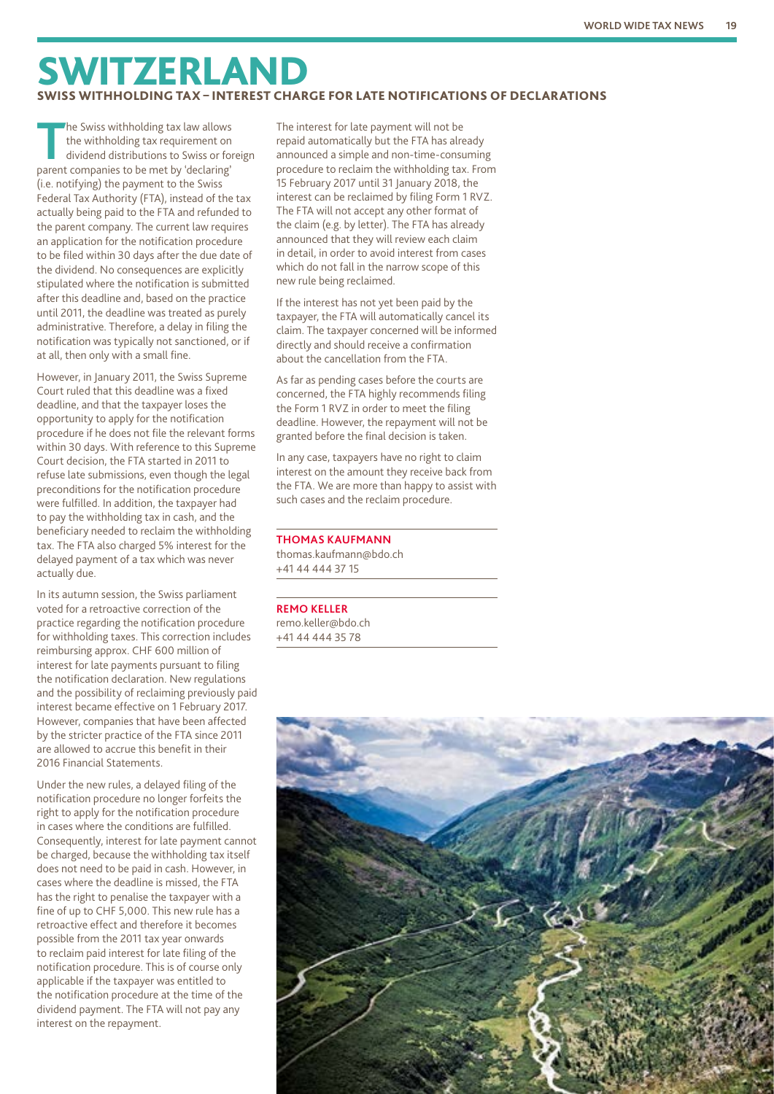## SWITZERLAND SWISS WITHHOLDING TAX – INTEREST CHARGE FOR LATE NOTIFICATIONS OF DECLARATIONS

**T**he Swiss withholding tax law allows the withholding tax requirement on dividend distributions to Swiss or foreign parent companies to be met by 'declaring' (i.e. notifying) the payment to the Swiss Federal Tax Authority (FTA), instead of the tax actually being paid to the FTA and refunded to the parent company. The current law requires an application for the notification procedure to be filed within 30 days after the due date of the dividend. No consequences are explicitly stipulated where the notification is submitted after this deadline and, based on the practice until 2011, the deadline was treated as purely administrative. Therefore, a delay in filing the notification was typically not sanctioned, or if at all, then only with a small fine.

However, in January 2011, the Swiss Supreme Court ruled that this deadline was a fixed deadline, and that the taxpayer loses the opportunity to apply for the notification procedure if he does not file the relevant forms within 30 days. With reference to this Supreme Court decision, the FTA started in 2011 to refuse late submissions, even though the legal preconditions for the notification procedure were fulfilled. In addition, the taxpayer had to pay the withholding tax in cash, and the beneficiary needed to reclaim the withholding tax. The FTA also charged 5% interest for the delayed payment of a tax which was never actually due.

In its autumn session, the Swiss parliament voted for a retroactive correction of the practice regarding the notification procedure for withholding taxes. This correction includes reimbursing approx. CHF 600 million of interest for late payments pursuant to filing the notification declaration. New regulations and the possibility of reclaiming previously paid interest became effective on 1 February 2017. However, companies that have been affected by the stricter practice of the FTA since 2011 are allowed to accrue this benefit in their 2016 Financial Statements.

Under the new rules, a delayed filing of the notification procedure no longer forfeits the right to apply for the notification procedure in cases where the conditions are fulfilled. Consequently, interest for late payment cannot be charged, because the withholding tax itself does not need to be paid in cash. However, in cases where the deadline is missed, the FTA has the right to penalise the taxpayer with a fine of up to CHF 5,000. This new rule has a retroactive effect and therefore it becomes possible from the 2011 tax year onwards to reclaim paid interest for late filing of the notification procedure. This is of course only applicable if the taxpayer was entitled to the notification procedure at the time of the dividend payment. The FTA will not pay any interest on the repayment.

The interest for late payment will not be repaid automatically but the FTA has already announced a simple and non-time-consuming procedure to reclaim the withholding tax. From 15 February 2017 until 31 January 2018, the interest can be reclaimed by filing Form 1 RVZ. The FTA will not accept any other format of the claim (e.g. by letter). The FTA has already announced that they will review each claim in detail, in order to avoid interest from cases which do not fall in the narrow scope of this new rule being reclaimed.

If the interest has not yet been paid by the taxpayer, the FTA will automatically cancel its claim. The taxpayer concerned will be informed directly and should receive a confirmation about the cancellation from the FTA.

As far as pending cases before the courts are concerned, the FTA highly recommends filing the Form 1 RVZ in order to meet the filing deadline. However, the repayment will not be granted before the final decision is taken.

In any case, taxpayers have no right to claim interest on the amount they receive back from the FTA. We are more than happy to assist with such cases and the reclaim procedure.

#### **THOMAS KAUFMANN**

thomas.kaufmann@bdo.ch +41 44 444 37 15

**REMO KELLER** remo.keller@bdo.ch +41 44 444 35 78

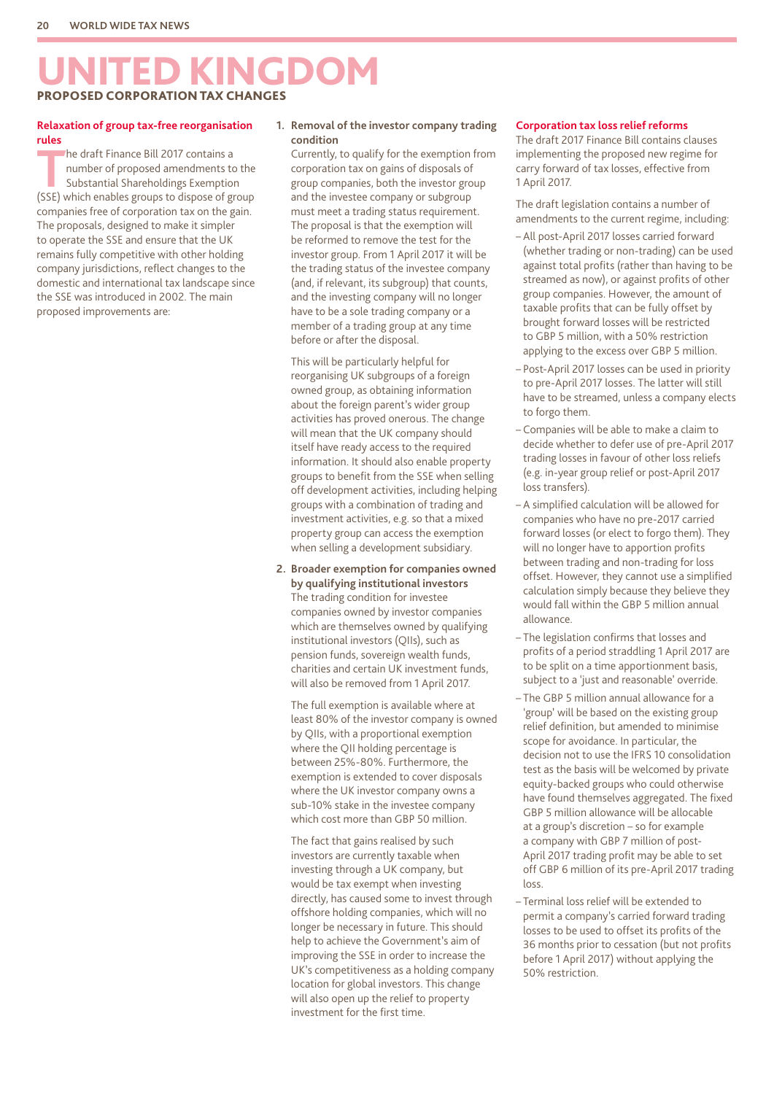## UNITED KINGDOM PROPOSED CORPORATION TAX CHANGES

#### **Relaxation of group tax-free reorganisation rules**

The draft Finance Bill 2017 contains a<br>
number of proposed amendments to<br>
Substantial Shareholdings Exemption<br>
Substantial Shareholdings Exemption number of proposed amendments to the (SSE) which enables groups to dispose of group companies free of corporation tax on the gain. The proposals, designed to make it simpler to operate the SSE and ensure that the UK remains fully competitive with other holding company jurisdictions, reflect changes to the domestic and international tax landscape since the SSE was introduced in 2002. The main proposed improvements are:

#### **1. Removal of the investor company trading condition**

Currently, to qualify for the exemption from corporation tax on gains of disposals of group companies, both the investor group and the investee company or subgroup must meet a trading status requirement. The proposal is that the exemption will be reformed to remove the test for the investor group. From 1 April 2017 it will be the trading status of the investee company (and, if relevant, its subgroup) that counts, and the investing company will no longer have to be a sole trading company or a member of a trading group at any time before or after the disposal.

This will be particularly helpful for reorganising UK subgroups of a foreign owned group, as obtaining information about the foreign parent's wider group activities has proved onerous. The change will mean that the UK company should itself have ready access to the required information. It should also enable property groups to benefit from the SSE when selling off development activities, including helping groups with a combination of trading and investment activities, e.g. so that a mixed property group can access the exemption when selling a development subsidiary.

**2. Broader exemption for companies owned by qualifying institutional investors** The trading condition for investee companies owned by investor companies which are themselves owned by qualifying institutional investors (QIIs), such as pension funds, sovereign wealth funds, charities and certain UK investment funds, will also be removed from 1 April 2017.

The full exemption is available where at least 80% of the investor company is owned by QIIs, with a proportional exemption where the QII holding percentage is between 25%-80%. Furthermore, the exemption is extended to cover disposals where the UK investor company owns a sub-10% stake in the investee company which cost more than GBP 50 million.

The fact that gains realised by such investors are currently taxable when investing through a UK company, but would be tax exempt when investing directly, has caused some to invest through offshore holding companies, which will no longer be necessary in future. This should help to achieve the Government's aim of improving the SSE in order to increase the UK's competitiveness as a holding company location for global investors. This change will also open up the relief to property investment for the first time.

#### **Corporation tax loss relief reforms**

The draft 2017 Finance Bill contains clauses implementing the proposed new regime for carry forward of tax losses, effective from 1 April 2017.

The draft legislation contains a number of amendments to the current regime, including:

- All post-April 2017 losses carried forward (whether trading or non-trading) can be used against total profits (rather than having to be streamed as now), or against profits of other group companies. However, the amount of taxable profits that can be fully offset by brought forward losses will be restricted to GBP 5 million, with a 50% restriction applying to the excess over GBP 5 million.
- Post-April 2017 losses can be used in priority to pre-April 2017 losses. The latter will still have to be streamed, unless a company elects to forgo them.
- Companies will be able to make a claim to decide whether to defer use of pre-April 2017 trading losses in favour of other loss reliefs (e.g. in-year group relief or post-April 2017 loss transfers).
- A simplified calculation will be allowed for companies who have no pre-2017 carried forward losses (or elect to forgo them). They will no longer have to apportion profits between trading and non-trading for loss offset. However, they cannot use a simplified calculation simply because they believe they would fall within the GBP 5 million annual allowance.
- The legislation confirms that losses and profits of a period straddling 1 April 2017 are to be split on a time apportionment basis, subject to a 'just and reasonable' override.
- The GBP 5 million annual allowance for a 'group' will be based on the existing group relief definition, but amended to minimise scope for avoidance. In particular, the decision not to use the IFRS 10 consolidation test as the basis will be welcomed by private equity-backed groups who could otherwise have found themselves aggregated. The fixed GBP 5 million allowance will be allocable at a group's discretion – so for example a company with GBP 7 million of post-April 2017 trading profit may be able to set off GBP 6 million of its pre-April 2017 trading loss.
- Terminal loss relief will be extended to permit a company's carried forward trading losses to be used to offset its profits of the 36 months prior to cessation (but not profits before 1 April 2017) without applying the 50% restriction.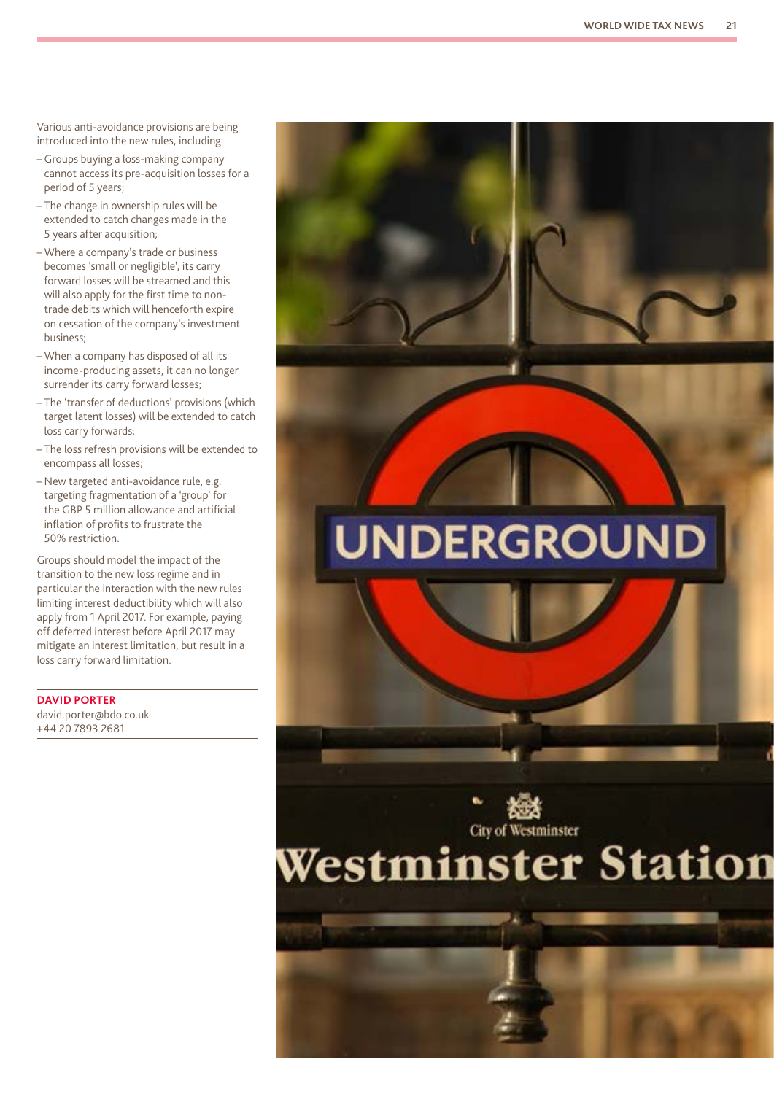Various anti-avoidance provisions are being introduced into the new rules, including:

- Groups buying a loss-making company cannot access its pre-acquisition losses for a period of 5 years;
- The change in ownership rules will be extended to catch changes made in the 5 years after acquisition;
- Where a company's trade or business becomes 'small or negligible', its carry forward losses will be streamed and this will also apply for the first time to nontrade debits which will henceforth expire on cessation of the company's investment business;
- When a company has disposed of all its income-producing assets, it can no longer surrender its carry forward losses;
- The 'transfer of deductions' provisions (which target latent losses) will be extended to catch loss carry forwards;
- The loss refresh provisions will be extended to encompass all losses;
- New targeted anti-avoidance rule, e.g. targeting fragmentation of a 'group' for the GBP 5 million allowance and artificial inflation of profits to frustrate the 50% restriction.

Groups should model the impact of the transition to the new loss regime and in particular the interaction with the new rules limiting interest deductibility which will also apply from 1 April 2017. For example, paying off deferred interest before April 2017 may mitigate an interest limitation, but result in a loss carry forward limitation.

**DAVID PORTER** david.porter@bdo.co.uk +44 20 7893 2681

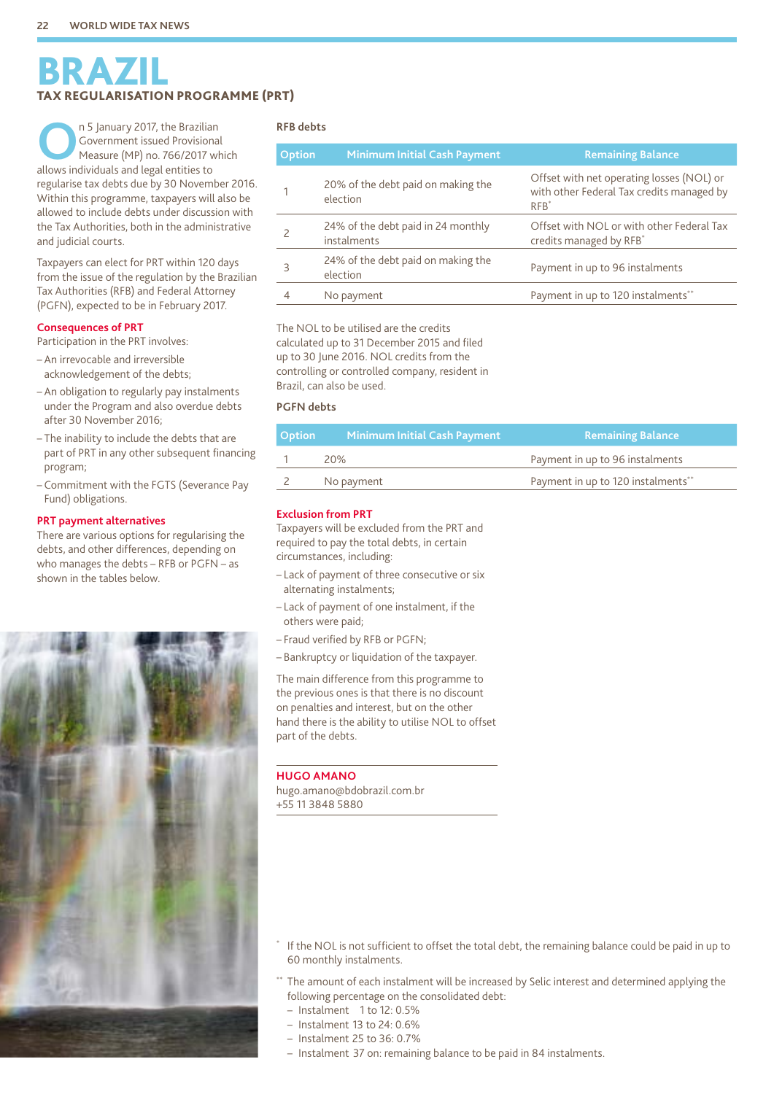## BRAZIL TAX REGULARISATION PROGRAMME (PRT)

**O**n 5 January 2017, the Brazilian Government issued Provisional Measure (MP) no. 766/2017 which allows individuals and legal entities to regularise tax debts due by 30 November 2016. Within this programme, taxpayers will also be allowed to include debts under discussion with the Tax Authorities, both in the administrative and judicial courts.

Taxpayers can elect for PRT within 120 days from the issue of the regulation by the Brazilian Tax Authorities (RFB) and Federal Attorney (PGFN), expected to be in February 2017.

#### **Consequences of PRT**

Participation in the PRT involves:

- An irrevocable and irreversible acknowledgement of the debts;
- An obligation to regularly pay instalments under the Program and also overdue debts after 30 November 2016;
- The inability to include the debts that are part of PRT in any other subsequent financing program;
- Commitment with the FGTS (Severance Pay Fund) obligations.

#### **PRT payment alternatives**

There are various options for regularising the debts, and other differences, depending on who manages the debts – RFB or PGFN – as shown in the tables below.



#### **RFB debts**

| <b>Option</b> | <b>Minimum Initial Cash Payment</b>               | <b>Remaining Balance</b>                                                                         |  |
|---------------|---------------------------------------------------|--------------------------------------------------------------------------------------------------|--|
|               | 20% of the debt paid on making the<br>election    | Offset with net operating losses (NOL) or<br>with other Federal Tax credits managed by<br>$RFB*$ |  |
|               | 24% of the debt paid in 24 monthly<br>instalments | Offset with NOL or with other Federal Tax<br>credits managed by RFB*                             |  |
| 3             | 24% of the debt paid on making the<br>election    | Payment in up to 96 instalments                                                                  |  |
|               | No payment                                        | Payment in up to 120 instalments**                                                               |  |
|               |                                                   |                                                                                                  |  |

The NOL to be utilised are the credits calculated up to 31 December 2015 and filed up to 30 June 2016. NOL credits from the controlling or controlled company, resident in Brazil, can also be used.

#### **PGFN debts**

| <b>Option</b> | Minimum Initial Cash Payment <sub>I</sub> | Remaining Balance                  |
|---------------|-------------------------------------------|------------------------------------|
|               | 20%                                       | Payment in up to 96 instalments    |
|               | No payment                                | Payment in up to 120 instalments** |

#### **Exclusion from PRT**

Taxpayers will be excluded from the PRT and required to pay the total debts, in certain circumstances, including:

- Lack of payment of three consecutive or six alternating instalments;
- Lack of payment of one instalment, if the others were paid;
- Fraud verified by RFB or PGFN;
- Bankruptcy or liquidation of the taxpayer.

The main difference from this programme to the previous ones is that there is no discount on penalties and interest, but on the other hand there is the ability to utilise NOL to offset part of the debts.

#### **HUGO AMANO**

hugo.amano@bdobrazil.com.br +55 11 3848 5880

- If the NOL is not sufficient to offset the total debt, the remaining balance could be paid in up to 60 monthly instalments.
- The amount of each instalment will be increased by Selic interest and determined applying the following percentage on the consolidated debt:
	- Instalment 1 to 12: 0.5%
	- Instalment 13 to 24: 0.6%
	- Instalment 25 to 36: 0.7%
	- Instalment 37 on: remaining balance to be paid in 84 instalments.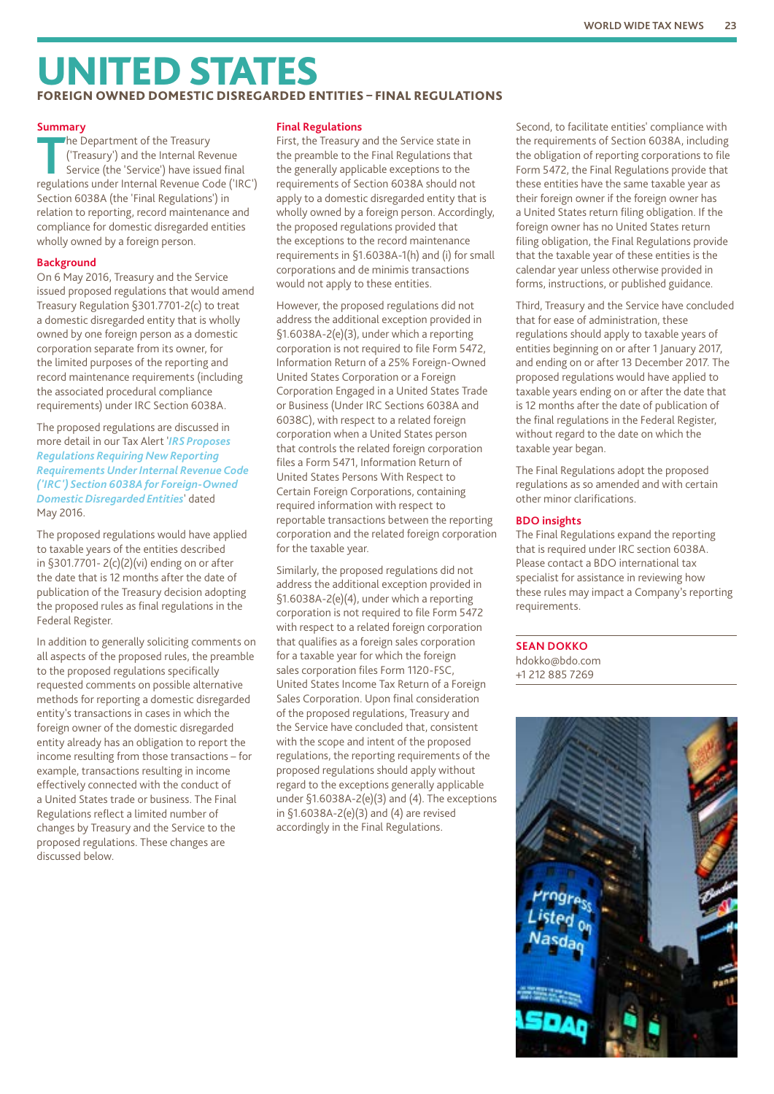## UNITED STATES FOREIGN OWNED DOMESTIC DISREGARDED ENTITIES – FINAL REGULATIONS

#### **Summary**

The Department of the Treasury<br>
('Treasury') and the Internal Revenue<br>
Service (the 'Service') have issued final<br>
regulations under Internal Revenue Code ('IB ('Treasury') and the Internal Revenue regulations under Internal Revenue Code ('IRC') Section 6038A (the 'Final Regulations') in relation to reporting, record maintenance and compliance for domestic disregarded entities wholly owned by a foreign person.

#### **Background**

On 6 May 2016, Treasury and the Service issued proposed regulations that would amend Treasury Regulation §301.7701-2(c) to treat a domestic disregarded entity that is wholly owned by one foreign person as a domestic corporation separate from its owner, for the limited purposes of the reporting and record maintenance requirements (including the associated procedural compliance requirements) under IRC Section 6038A.

The proposed regulations are discussed in more detail in our Tax Alert '*[IRS Proposes](https://www.bdo.com/getattachment/7930f169-81da-4eb0-b1ce-6309c8c9606f/attachment.aspx?Intl-Alert-IRS-Regs.pdf)  [Regulations Requiring New Reporting](https://www.bdo.com/getattachment/7930f169-81da-4eb0-b1ce-6309c8c9606f/attachment.aspx?Intl-Alert-IRS-Regs.pdf)  [Requirements Under Internal Revenue Code](https://www.bdo.com/getattachment/7930f169-81da-4eb0-b1ce-6309c8c9606f/attachment.aspx?Intl-Alert-IRS-Regs.pdf)  [\('IRC'\) Section 6038A for Foreign-Owned](https://www.bdo.com/getattachment/7930f169-81da-4eb0-b1ce-6309c8c9606f/attachment.aspx?Intl-Alert-IRS-Regs.pdf)  [Domestic Disregarded Entities](https://www.bdo.com/getattachment/7930f169-81da-4eb0-b1ce-6309c8c9606f/attachment.aspx?Intl-Alert-IRS-Regs.pdf)*' dated May 2016.

The proposed regulations would have applied to taxable years of the entities described in §301.7701- 2(c)(2)(vi) ending on or after the date that is 12 months after the date of publication of the Treasury decision adopting the proposed rules as final regulations in the Federal Register.

In addition to generally soliciting comments on all aspects of the proposed rules, the preamble to the proposed regulations specifically requested comments on possible alternative methods for reporting a domestic disregarded entity's transactions in cases in which the foreign owner of the domestic disregarded entity already has an obligation to report the income resulting from those transactions – for example, transactions resulting in income effectively connected with the conduct of a United States trade or business. The Final Regulations reflect a limited number of changes by Treasury and the Service to the proposed regulations. These changes are discussed below.

#### **Final Regulations**

First, the Treasury and the Service state in the preamble to the Final Regulations that the generally applicable exceptions to the requirements of Section 6038A should not apply to a domestic disregarded entity that is wholly owned by a foreign person. Accordingly, the proposed regulations provided that the exceptions to the record maintenance requirements in §1.6038A-1(h) and (i) for small corporations and de minimis transactions would not apply to these entities.

However, the proposed regulations did not address the additional exception provided in §1.6038A-2(e)(3), under which a reporting corporation is not required to file Form 5472, Information Return of a 25% Foreign-Owned United States Corporation or a Foreign Corporation Engaged in a United States Trade or Business (Under IRC Sections 6038A and 6038C), with respect to a related foreign corporation when a United States person that controls the related foreign corporation files a Form 5471, Information Return of United States Persons With Respect to Certain Foreign Corporations, containing required information with respect to reportable transactions between the reporting corporation and the related foreign corporation for the taxable year.

Similarly, the proposed regulations did not address the additional exception provided in §1.6038A-2(e)(4), under which a reporting corporation is not required to file Form 5472 with respect to a related foreign corporation that qualifies as a foreign sales corporation for a taxable year for which the foreign sales corporation files Form 1120-FSC, United States Income Tax Return of a Foreign Sales Corporation. Upon final consideration of the proposed regulations, Treasury and the Service have concluded that, consistent with the scope and intent of the proposed regulations, the reporting requirements of the proposed regulations should apply without regard to the exceptions generally applicable under §1.6038A-2(e)(3) and (4). The exceptions in §1.6038A-2(e)(3) and (4) are revised accordingly in the Final Regulations.

Second, to facilitate entities' compliance with the requirements of Section 6038A, including the obligation of reporting corporations to file Form 5472, the Final Regulations provide that these entities have the same taxable year as their foreign owner if the foreign owner has a United States return filing obligation. If the foreign owner has no United States return filing obligation, the Final Regulations provide that the taxable year of these entities is the calendar year unless otherwise provided in forms, instructions, or published guidance.

Third, Treasury and the Service have concluded that for ease of administration, these regulations should apply to taxable years of entities beginning on or after 1 January 2017, and ending on or after 13 December 2017. The proposed regulations would have applied to taxable years ending on or after the date that is 12 months after the date of publication of the final regulations in the Federal Register, without regard to the date on which the taxable year began.

The Final Regulations adopt the proposed regulations as so amended and with certain other minor clarifications.

#### **BDO insights**

The Final Regulations expand the reporting that is required under IRC section 6038A. Please contact a BDO international tax specialist for assistance in reviewing how these rules may impact a Company's reporting requirements.

**SEAN DOKKO** hdokko@bdo.com +1 212 885 7269